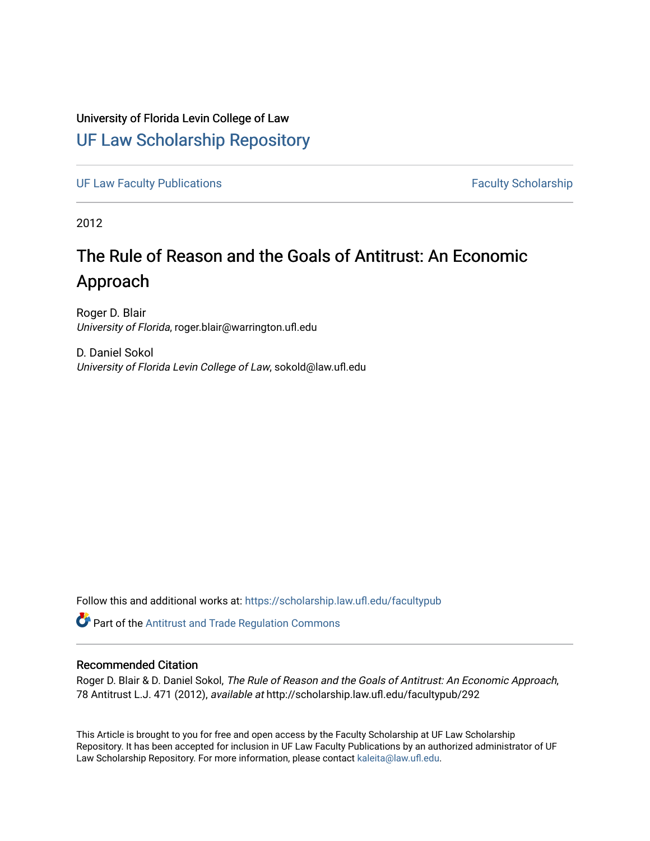# University of Florida Levin College of Law

## [UF Law Scholarship Repository](https://scholarship.law.ufl.edu/)

[UF Law Faculty Publications](https://scholarship.law.ufl.edu/facultypub) **Faculty Publications** Faculty Scholarship

2012

# The Rule of Reason and the Goals of Antitrust: An Economic Approach

Roger D. Blair University of Florida, roger.blair@warrington.ufl.edu

D. Daniel Sokol University of Florida Levin College of Law, sokold@law.ufl.edu

Follow this and additional works at: [https://scholarship.law.ufl.edu/facultypub](https://scholarship.law.ufl.edu/facultypub?utm_source=scholarship.law.ufl.edu%2Ffacultypub%2F292&utm_medium=PDF&utm_campaign=PDFCoverPages) 

Part of the [Antitrust and Trade Regulation Commons](http://network.bepress.com/hgg/discipline/911?utm_source=scholarship.law.ufl.edu%2Ffacultypub%2F292&utm_medium=PDF&utm_campaign=PDFCoverPages) 

## Recommended Citation

Roger D. Blair & D. Daniel Sokol, The Rule of Reason and the Goals of Antitrust: An Economic Approach, 78 Antitrust L.J. 471 (2012), available at http://scholarship.law.ufl.edu/facultypub/292

This Article is brought to you for free and open access by the Faculty Scholarship at UF Law Scholarship Repository. It has been accepted for inclusion in UF Law Faculty Publications by an authorized administrator of UF Law Scholarship Repository. For more information, please contact [kaleita@law.ufl.edu](mailto:kaleita@law.ufl.edu).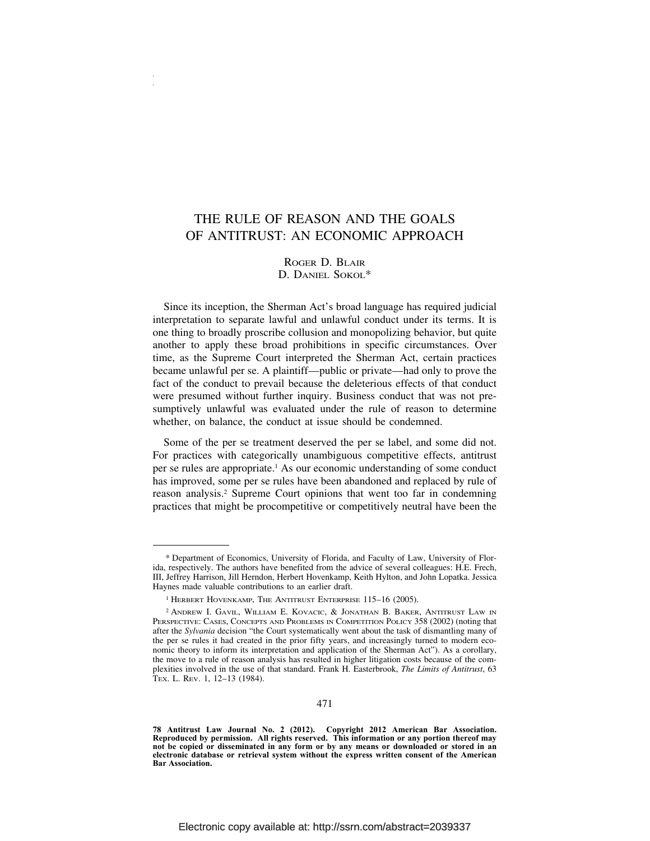## THE RULE OF REASON AND THE GOALS OF ANTITRUST: AN ECONOMIC APPROACH

## ROGER D. BLAIR D. DANIEL SOKOL\*

Since its inception, the Sherman Act's broad language has required judicial interpretation to separate lawful and unlawful conduct under its terms. It is one thing to broadly proscribe collusion and monopolizing behavior, but quite another to apply these broad prohibitions in specific circumstances. Over time, as the Supreme Court interpreted the Sherman Act, certain practices became unlawful per se. A plaintiff—public or private—had only to prove the fact of the conduct to prevail because the deleterious effects of that conduct were presumed without further inquiry. Business conduct that was not presumptively unlawful was evaluated under the rule of reason to determine whether, on balance, the conduct at issue should be condemned.

Some of the per se treatment deserved the per se label, and some did not. For practices with categorically unambiguous competitive effects, antitrust per se rules are appropriate.1 As our economic understanding of some conduct has improved, some per se rules have been abandoned and replaced by rule of reason analysis.2 Supreme Court opinions that went too far in condemning practices that might be procompetitive or competitively neutral have been the

<sup>\*</sup> Department of Economics, University of Florida, and Faculty of Law, University of Florida, respectively. The authors have benefited from the advice of several colleagues: H.E. Frech, III, Jeffrey Harrison, Jill Herndon, Herbert Hovenkamp, Keith Hylton, and John Lopatka. Jessica Haynes made valuable contributions to an earlier draft.

<sup>1</sup> HERBERT HOVENKAMP, THE ANTITRUST ENTERPRISE 115–16 (2005).

<sup>2</sup> ANDREW I. GAVIL, WILLIAM E. KOVACIC, & JONATHAN B. BAKER, ANTITRUST LAW IN PERSPECTIVE: CASES, CONCEPTS AND PROBLEMS IN COMPETITION POLICY 358 (2002) (noting that after the *Sylvania* decision "the Court systematically went about the task of dismantling many of the per se rules it had created in the prior fifty years, and increasingly turned to modern economic theory to inform its interpretation and application of the Sherman Act"). As a corollary, the move to a rule of reason analysis has resulted in higher litigation costs because of the complexities involved in the use of that standard. Frank H. Easterbrook, *The Limits of Antitrust*, 63 TEX. L. REV. 1, 12–13 (1984).

**<sup>78</sup> Antitrust Law Journal No. 2 (2012). Copyright 2012 American Bar Association. Reproduced by permission. All rights reserved. This information or any portion thereof may not be copied or disseminated in any form or by any means or downloaded or stored in an electronic database or retrieval system without the express written consent of the American Bar Association.**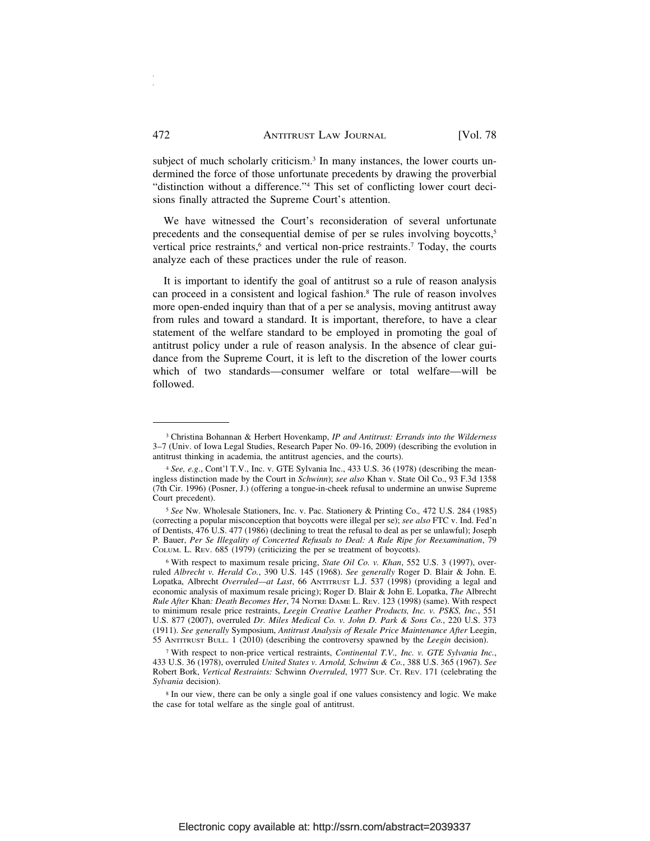subject of much scholarly criticism.<sup>3</sup> In many instances, the lower courts undermined the force of those unfortunate precedents by drawing the proverbial "distinction without a difference."4 This set of conflicting lower court decisions finally attracted the Supreme Court's attention.

We have witnessed the Court's reconsideration of several unfortunate precedents and the consequential demise of per se rules involving boycotts,<sup>5</sup> vertical price restraints,<sup>6</sup> and vertical non-price restraints.<sup>7</sup> Today, the courts analyze each of these practices under the rule of reason.

It is important to identify the goal of antitrust so a rule of reason analysis can proceed in a consistent and logical fashion.8 The rule of reason involves more open-ended inquiry than that of a per se analysis, moving antitrust away from rules and toward a standard. It is important, therefore, to have a clear statement of the welfare standard to be employed in promoting the goal of antitrust policy under a rule of reason analysis. In the absence of clear guidance from the Supreme Court, it is left to the discretion of the lower courts which of two standards—consumer welfare or total welfare—will be followed.

<sup>3</sup> Christina Bohannan & Herbert Hovenkamp, *IP and Antitrust: Errands into the Wilderness* 3–7 (Univ. of Iowa Legal Studies, Research Paper No. 09-16, 2009) (describing the evolution in antitrust thinking in academia, the antitrust agencies, and the courts).

<sup>4</sup> *See, e.g*., Cont'l T.V., Inc. v. GTE Sylvania Inc., 433 U.S. 36 (1978) (describing the meaningless distinction made by the Court in *Schwinn*); *see also* Khan v. State Oil Co., 93 F.3d 1358 (7th Cir. 1996) (Posner, J.) (offering a tongue-in-cheek refusal to undermine an unwise Supreme Court precedent).

<sup>5</sup> *See* Nw. Wholesale Stationers, Inc. v. Pac. Stationery & Printing Co.*,* 472 U.S. 284 (1985) (correcting a popular misconception that boycotts were illegal per se); *see also* FTC v. Ind. Fed'n of Dentists, 476 U.S. 477 (1986) (declining to treat the refusal to deal as per se unlawful); Joseph P. Bauer, *Per Se Illegality of Concerted Refusals to Deal: A Rule Ripe for Reexamination*, 79 COLUM. L. REV. 685 (1979) (criticizing the per se treatment of boycotts).

<sup>6</sup> With respect to maximum resale pricing, *State Oil Co. v. Khan*, 552 U.S. 3 (1997), overruled *Albrecht v. Herald Co.*, 390 U.S. 145 (1968). *See generally* Roger D. Blair & John. E. Lopatka, Albrecht *Overruled—at Last*, 66 ANTITRUST L.J. 537 (1998) (providing a legal and economic analysis of maximum resale pricing); Roger D. Blair & John E. Lopatka, *The* Albrecht *Rule After* Khan*: Death Becomes Her*, 74 NOTRE DAME L. REV. 123 (1998) (same). With respect to minimum resale price restraints, *Leegin Creative Leather Products, Inc. v. PSKS, Inc.*, 551 U.S. 877 (2007), overruled *Dr. Miles Medical Co. v. John D. Park & Sons Co.*, 220 U.S. 373 (1911). *See generally* Symposium, *Antitrust Analysis of Resale Price Maintenance After* Leegin, 55 ANTITRUST BULL. 1 (2010) (describing the controversy spawned by the *Leegin* decision).

<sup>7</sup> With respect to non-price vertical restraints, *Continental T.V., Inc. v. GTE Sylvania Inc.*, 433 U.S. 36 (1978), overruled *United States v. Arnold, Schwinn & Co.*, 388 U.S. 365 (1967). *See* Robert Bork, *Vertical Restraints:* Schwinn *Overruled*, 1977 SUP. CT. REV. 171 (celebrating the *Sylvania* decision).

<sup>8</sup> In our view, there can be only a single goal if one values consistency and logic. We make the case for total welfare as the single goal of antitrust.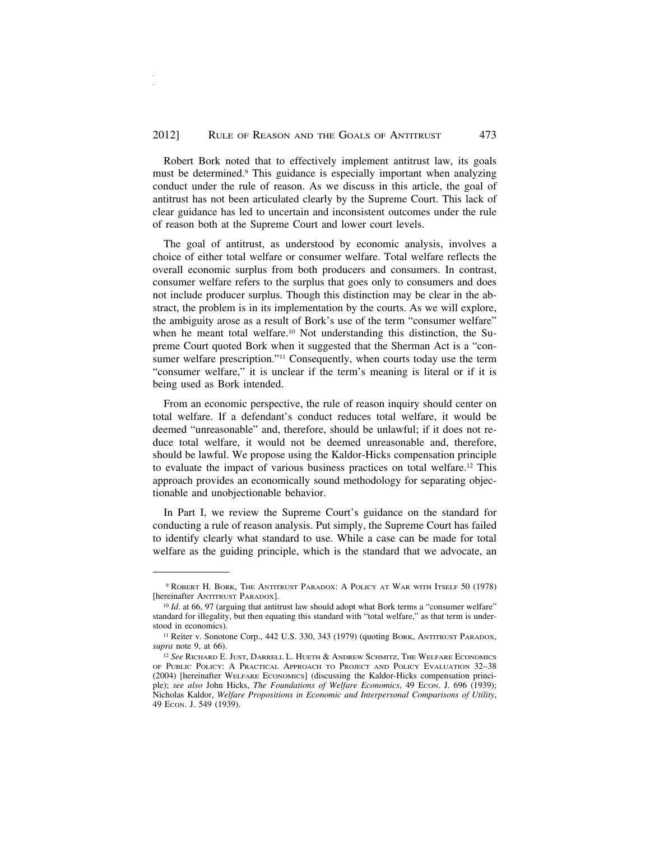Robert Bork noted that to effectively implement antitrust law, its goals must be determined.9 This guidance is especially important when analyzing conduct under the rule of reason. As we discuss in this article, the goal of antitrust has not been articulated clearly by the Supreme Court. This lack of clear guidance has led to uncertain and inconsistent outcomes under the rule of reason both at the Supreme Court and lower court levels.

The goal of antitrust, as understood by economic analysis, involves a choice of either total welfare or consumer welfare. Total welfare reflects the overall economic surplus from both producers and consumers. In contrast, consumer welfare refers to the surplus that goes only to consumers and does not include producer surplus. Though this distinction may be clear in the abstract, the problem is in its implementation by the courts. As we will explore, the ambiguity arose as a result of Bork's use of the term "consumer welfare" when he meant total welfare.<sup>10</sup> Not understanding this distinction, the Supreme Court quoted Bork when it suggested that the Sherman Act is a "consumer welfare prescription."<sup>11</sup> Consequently, when courts today use the term "consumer welfare," it is unclear if the term's meaning is literal or if it is being used as Bork intended.

From an economic perspective, the rule of reason inquiry should center on total welfare. If a defendant's conduct reduces total welfare, it would be deemed "unreasonable" and, therefore, should be unlawful; if it does not reduce total welfare, it would not be deemed unreasonable and, therefore, should be lawful. We propose using the Kaldor-Hicks compensation principle to evaluate the impact of various business practices on total welfare.12 This approach provides an economically sound methodology for separating objectionable and unobjectionable behavior.

In Part I, we review the Supreme Court's guidance on the standard for conducting a rule of reason analysis. Put simply, the Supreme Court has failed to identify clearly what standard to use. While a case can be made for total welfare as the guiding principle, which is the standard that we advocate, an

<sup>9</sup> ROBERT H. BORK, THE ANTITRUST PARADOX: A POLICY AT WAR WITH ITSELF 50 (1978) [hereinafter ANTITRUST PARADOX].

<sup>&</sup>lt;sup>10</sup> *Id.* at 66, 97 (arguing that antitrust law should adopt what Bork terms a "consumer welfare" standard for illegality, but then equating this standard with "total welfare," as that term is understood in economics).

<sup>&</sup>lt;sup>11</sup> Reiter v. Sonotone Corp., 442 U.S. 330, 343 (1979) (quoting BORK, ANTITRUST PARADOX, *supra* note 9, at 66).

<sup>12</sup> *See* RICHARD E. JUST, DARRELL L. HUETH & ANDREW SCHMITZ, THE WELFARE ECONOMICS OF PUBLIC POLICY: A PRACTICAL APPROACH TO PROJECT AND POLICY EVALUATION 32–38 (2004) [hereinafter WELFARE ECONOMICS] (discussing the Kaldor-Hicks compensation principle); see also John Hicks, *The Foundations of Welfare Economics*, 49 Econ. J. 696 (1939); Nicholas Kaldor, *Welfare Propositions in Economic and Interpersonal Comparisons of Utility*, 49 ECON. J. 549 (1939).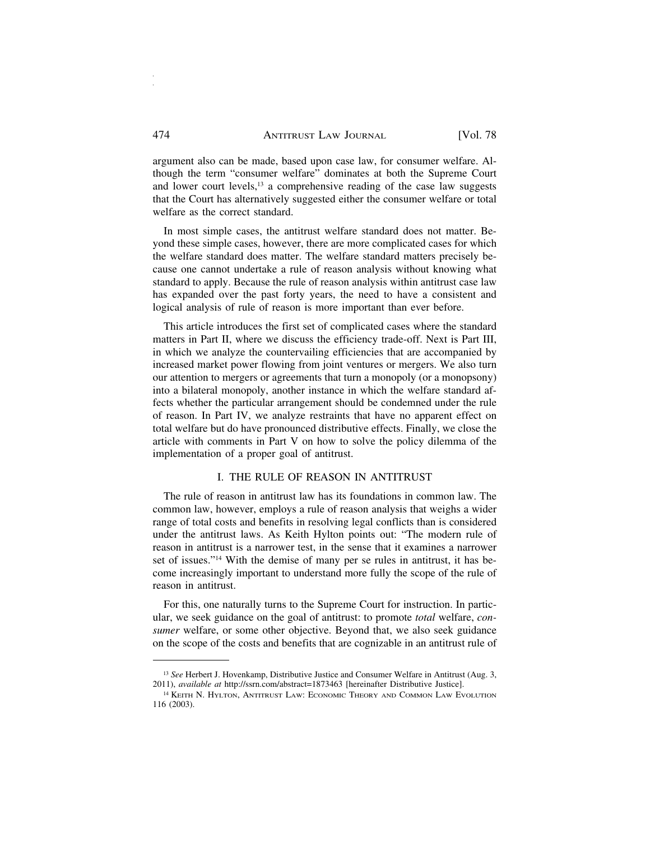argument also can be made, based upon case law, for consumer welfare. Although the term "consumer welfare" dominates at both the Supreme Court and lower court levels,<sup>13</sup> a comprehensive reading of the case law suggests that the Court has alternatively suggested either the consumer welfare or total welfare as the correct standard.

In most simple cases, the antitrust welfare standard does not matter. Beyond these simple cases, however, there are more complicated cases for which the welfare standard does matter. The welfare standard matters precisely because one cannot undertake a rule of reason analysis without knowing what standard to apply. Because the rule of reason analysis within antitrust case law has expanded over the past forty years, the need to have a consistent and logical analysis of rule of reason is more important than ever before.

This article introduces the first set of complicated cases where the standard matters in Part II, where we discuss the efficiency trade-off. Next is Part III, in which we analyze the countervailing efficiencies that are accompanied by increased market power flowing from joint ventures or mergers. We also turn our attention to mergers or agreements that turn a monopoly (or a monopsony) into a bilateral monopoly, another instance in which the welfare standard affects whether the particular arrangement should be condemned under the rule of reason. In Part IV, we analyze restraints that have no apparent effect on total welfare but do have pronounced distributive effects. Finally, we close the article with comments in Part V on how to solve the policy dilemma of the implementation of a proper goal of antitrust.

#### I. THE RULE OF REASON IN ANTITRUST

The rule of reason in antitrust law has its foundations in common law. The common law, however, employs a rule of reason analysis that weighs a wider range of total costs and benefits in resolving legal conflicts than is considered under the antitrust laws. As Keith Hylton points out: "The modern rule of reason in antitrust is a narrower test, in the sense that it examines a narrower set of issues."14 With the demise of many per se rules in antitrust, it has become increasingly important to understand more fully the scope of the rule of reason in antitrust.

For this, one naturally turns to the Supreme Court for instruction. In particular, we seek guidance on the goal of antitrust: to promote *total* welfare, *consumer* welfare, or some other objective. Beyond that, we also seek guidance on the scope of the costs and benefits that are cognizable in an antitrust rule of

<sup>13</sup> *See* Herbert J. Hovenkamp, Distributive Justice and Consumer Welfare in Antitrust (Aug. 3, 2011), *available at* http://ssrn.com/abstract=1873463 [hereinafter Distributive Justice].

<sup>14</sup> KEITH N. HYLTON, ANTITRUST LAW: ECONOMIC THEORY AND COMMON LAW EVOLUTION 116 (2003).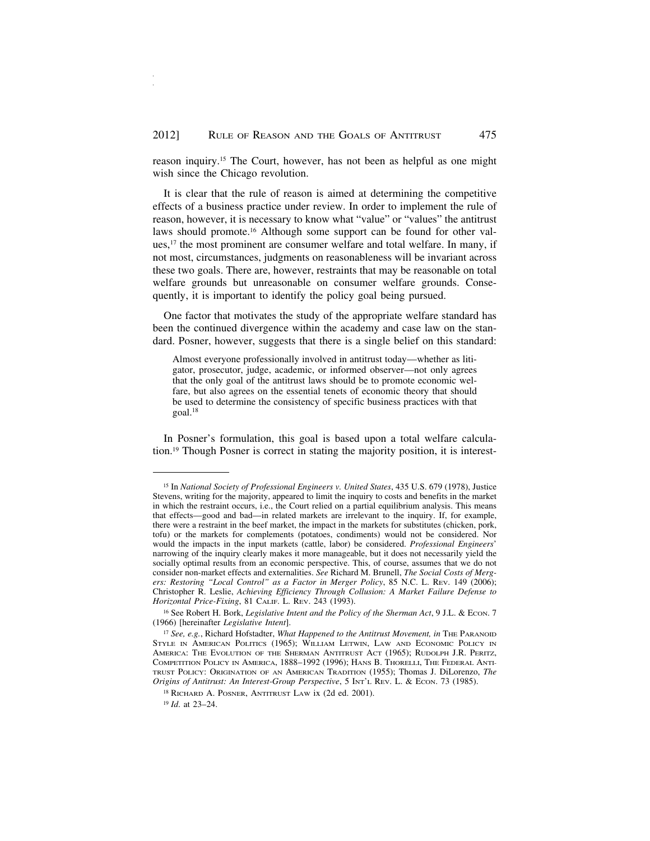reason inquiry.15 The Court, however, has not been as helpful as one might wish since the Chicago revolution.

It is clear that the rule of reason is aimed at determining the competitive effects of a business practice under review. In order to implement the rule of reason, however, it is necessary to know what "value" or "values" the antitrust laws should promote.16 Although some support can be found for other values,<sup>17</sup> the most prominent are consumer welfare and total welfare. In many, if not most, circumstances, judgments on reasonableness will be invariant across these two goals. There are, however, restraints that may be reasonable on total welfare grounds but unreasonable on consumer welfare grounds. Consequently, it is important to identify the policy goal being pursued.

One factor that motivates the study of the appropriate welfare standard has been the continued divergence within the academy and case law on the standard. Posner, however, suggests that there is a single belief on this standard:

Almost everyone professionally involved in antitrust today—whether as litigator, prosecutor, judge, academic, or informed observer—not only agrees that the only goal of the antitrust laws should be to promote economic welfare, but also agrees on the essential tenets of economic theory that should be used to determine the consistency of specific business practices with that goal.18

In Posner's formulation, this goal is based upon a total welfare calculation.19 Though Posner is correct in stating the majority position, it is interest-

<sup>&</sup>lt;sup>15</sup> In *National Society of Professional Engineers v. United States*, 435 U.S. 679 (1978), Justice Stevens, writing for the majority, appeared to limit the inquiry to costs and benefits in the market in which the restraint occurs, i.e., the Court relied on a partial equilibrium analysis. This means that effects—good and bad—in related markets are irrelevant to the inquiry. If, for example, there were a restraint in the beef market, the impact in the markets for substitutes (chicken, pork, tofu) or the markets for complements (potatoes, condiments) would not be considered. Nor would the impacts in the input markets (cattle, labor) be considered. *Professional Engineers*' narrowing of the inquiry clearly makes it more manageable, but it does not necessarily yield the socially optimal results from an economic perspective. This, of course, assumes that we do not consider non-market effects and externalities. *See* Richard M. Brunell, *The Social Costs of Mergers: Restoring "Local Control" as a Factor in Merger Policy*, 85 N.C. L. REV. 149 (2006); Christopher R. Leslie, *Achieving Efficiency Through Collusion: A Market Failure Defense to Horizontal Price-Fixing*, 81 CALIF. L. REV. 243 (1993).

<sup>16</sup> See Robert H. Bork, *Legislative Intent and the Policy of the Sherman Act*, 9 J.L. & ECON. 7 (1966) [hereinafter *Legislative Intent*].

<sup>17</sup> *See, e.g.*, Richard Hofstadter, *What Happened to the Antitrust Movement, in* THE PARANOID STYLE IN AMERICAN POLITICS (1965); WILLIAM LETWIN, LAW AND ECONOMIC POLICY IN AMERICA: THE EVOLUTION OF THE SHERMAN ANTITRUST ACT (1965); RUDOLPH J.R. PERITZ, COMPETITION POLICY IN AMERICA, 1888–1992 (1996); HANS B. THORELLI, THE FEDERAL ANTI-TRUST POLICY: ORIGINATION OF AN AMERICAN TRADITION (1955); Thomas J. DiLorenzo, *The Origins of Antitrust: An Interest-Group Perspective*, 5 INT'L REV. L. & ECON. 73 (1985).

<sup>18</sup> RICHARD A. POSNER, ANTITRUST LAW ix (2d ed. 2001).

<sup>19</sup> *Id*. at 23–24.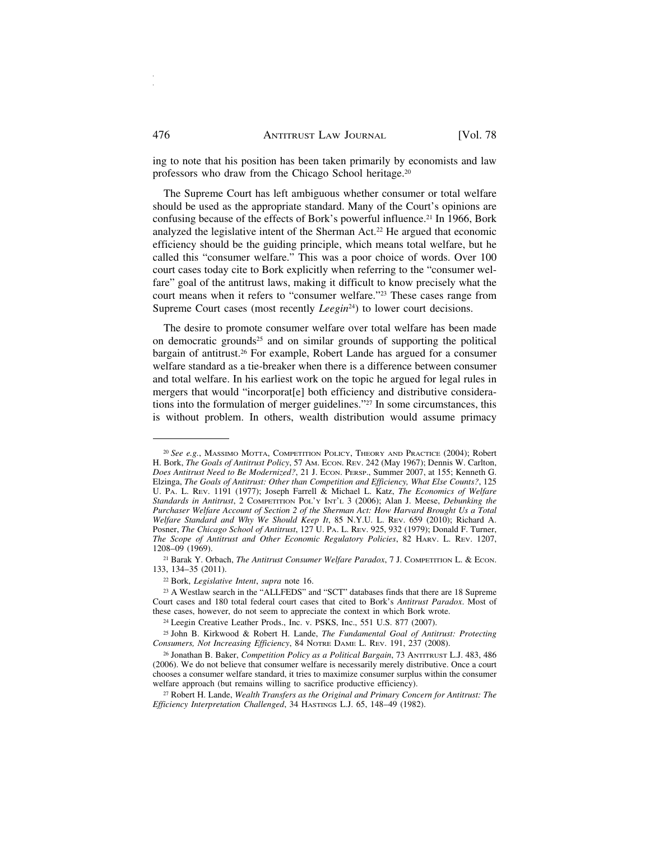ing to note that his position has been taken primarily by economists and law professors who draw from the Chicago School heritage.20

The Supreme Court has left ambiguous whether consumer or total welfare should be used as the appropriate standard. Many of the Court's opinions are confusing because of the effects of Bork's powerful influence.<sup>21</sup> In 1966, Bork analyzed the legislative intent of the Sherman Act.22 He argued that economic efficiency should be the guiding principle, which means total welfare, but he called this "consumer welfare." This was a poor choice of words. Over 100 court cases today cite to Bork explicitly when referring to the "consumer welfare" goal of the antitrust laws, making it difficult to know precisely what the court means when it refers to "consumer welfare."23 These cases range from Supreme Court cases (most recently *Leegin*<sup>24</sup>) to lower court decisions.

The desire to promote consumer welfare over total welfare has been made on democratic grounds<sup>25</sup> and on similar grounds of supporting the political bargain of antitrust.26 For example, Robert Lande has argued for a consumer welfare standard as a tie-breaker when there is a difference between consumer and total welfare. In his earliest work on the topic he argued for legal rules in mergers that would "incorporat[e] both efficiency and distributive considerations into the formulation of merger guidelines."27 In some circumstances, this is without problem. In others, wealth distribution would assume primacy

<sup>20</sup> *See e.g.*, MASSIMO MOTTA, COMPETITION POLICY, THEORY AND PRACTICE (2004); Robert H. Bork, *The Goals of Antitrust Policy*, 57 AM. ECON. REV. 242 (May 1967); Dennis W. Carlton, *Does Antitrust Need to Be Modernized?*, 21 J. ECON. PERSP., Summer 2007, at 155; Kenneth G. Elzinga, *The Goals of Antitrust: Other than Competition and Efficiency, What Else Counts?*, 125 U. PA. L. REV. 1191 (1977); Joseph Farrell & Michael L. Katz, *The Economics of Welfare Standards in Antitrust*, 2 COMPETITION POL'Y INT'L 3 (2006); Alan J. Meese, *Debunking the Purchaser Welfare Account of Section 2 of the Sherman Act: How Harvard Brought Us a Total Welfare Standard and Why We Should Keep It*, 85 N.Y.U. L. REV. 659 (2010); Richard A. Posner, *The Chicago School of Antitrust*, 127 U. PA. L. REV. 925, 932 (1979); Donald F. Turner, *The Scope of Antitrust and Other Economic Regulatory Policies*, 82 HARV. L. REV. 1207, 1208–09 (1969).

<sup>21</sup> Barak Y. Orbach, *The Antitrust Consumer Welfare Paradox*, 7 J. COMPETITION L. & ECON. 133, 134–35 (2011).

<sup>22</sup> Bork, *Legislative Intent*, *supra* note 16.

<sup>23</sup> A Westlaw search in the "ALLFEDS" and "SCT" databases finds that there are 18 Supreme Court cases and 180 total federal court cases that cited to Bork's *Antitrust Paradox*. Most of these cases, however, do not seem to appreciate the context in which Bork wrote.

<sup>24</sup> Leegin Creative Leather Prods., Inc. v. PSKS, Inc., 551 U.S. 877 (2007).

<sup>25</sup> John B. Kirkwood & Robert H. Lande, *The Fundamental Goal of Antitrust: Protecting Consumers, Not Increasing Efficiency*, 84 NOTRE DAME L. REV. 191, 237 (2008).

<sup>26</sup> Jonathan B. Baker, *Competition Policy as a Political Bargain*, 73 ANTITRUST L.J. 483, 486 (2006). We do not believe that consumer welfare is necessarily merely distributive. Once a court chooses a consumer welfare standard, it tries to maximize consumer surplus within the consumer welfare approach (but remains willing to sacrifice productive efficiency).

<sup>27</sup> Robert H. Lande, *Wealth Transfers as the Original and Primary Concern for Antitrust: The Efficiency Interpretation Challenged*, 34 HASTINGS L.J. 65, 148–49 (1982).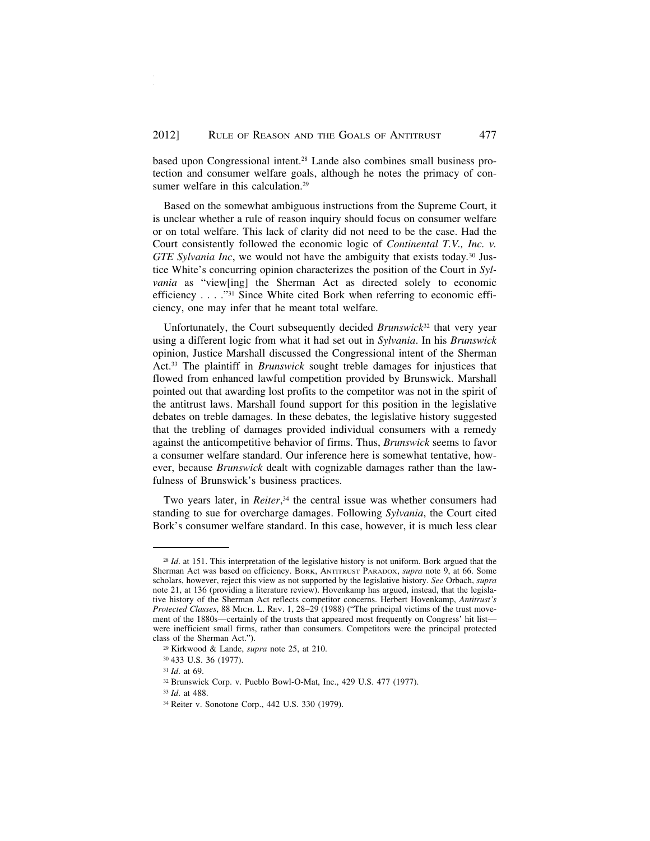based upon Congressional intent.28 Lande also combines small business protection and consumer welfare goals, although he notes the primacy of consumer welfare in this calculation.<sup>29</sup>

Based on the somewhat ambiguous instructions from the Supreme Court, it is unclear whether a rule of reason inquiry should focus on consumer welfare or on total welfare. This lack of clarity did not need to be the case. Had the Court consistently followed the economic logic of *Continental T.V., Inc. v. GTE Sylvania Inc*, we would not have the ambiguity that exists today*.* 30 Justice White's concurring opinion characterizes the position of the Court in *Sylvania* as "view[ing] the Sherman Act as directed solely to economic efficiency . . . ."31 Since White cited Bork when referring to economic efficiency, one may infer that he meant total welfare.

Unfortunately, the Court subsequently decided *Brunswick*32 that very year using a different logic from what it had set out in *Sylvania*. In his *Brunswick* opinion, Justice Marshall discussed the Congressional intent of the Sherman Act.33 The plaintiff in *Brunswick* sought treble damages for injustices that flowed from enhanced lawful competition provided by Brunswick. Marshall pointed out that awarding lost profits to the competitor was not in the spirit of the antitrust laws. Marshall found support for this position in the legislative debates on treble damages. In these debates, the legislative history suggested that the trebling of damages provided individual consumers with a remedy against the anticompetitive behavior of firms. Thus, *Brunswick* seems to favor a consumer welfare standard. Our inference here is somewhat tentative, however, because *Brunswick* dealt with cognizable damages rather than the lawfulness of Brunswick's business practices.

Two years later, in *Reiter*, 34 the central issue was whether consumers had standing to sue for overcharge damages. Following *Sylvania*, the Court cited Bork's consumer welfare standard. In this case, however, it is much less clear

<sup>28</sup> *Id*. at 151. This interpretation of the legislative history is not uniform. Bork argued that the Sherman Act was based on efficiency. BORK, ANTITRUST PARADOX, *supra* note 9, at 66. Some scholars, however, reject this view as not supported by the legislative history. *See* Orbach, *supra* note 21, at 136 (providing a literature review). Hovenkamp has argued, instead, that the legislative history of the Sherman Act reflects competitor concerns. Herbert Hovenkamp, *Antitrust's Protected Classes*, 88 MICH. L. REV. 1, 28–29 (1988) ("The principal victims of the trust movement of the 1880s—certainly of the trusts that appeared most frequently on Congress' hit list were inefficient small firms, rather than consumers. Competitors were the principal protected class of the Sherman Act.").

<sup>29</sup> Kirkwood & Lande, *supra* note 25, at 210.

<sup>30</sup> 433 U.S. 36 (1977).

<sup>31</sup> *Id*. at 69.

<sup>32</sup> Brunswick Corp. v. Pueblo Bowl-O-Mat, Inc., 429 U.S. 477 (1977).

<sup>33</sup> *Id*. at 488.

<sup>34</sup> Reiter v. Sonotone Corp., 442 U.S. 330 (1979).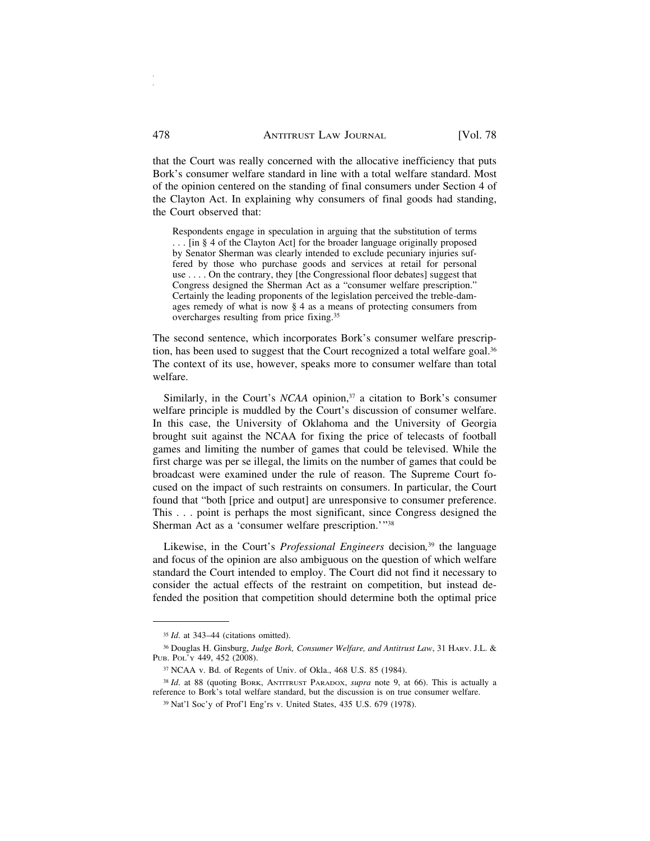that the Court was really concerned with the allocative inefficiency that puts Bork's consumer welfare standard in line with a total welfare standard. Most of the opinion centered on the standing of final consumers under Section 4 of the Clayton Act. In explaining why consumers of final goods had standing, the Court observed that:

Respondents engage in speculation in arguing that the substitution of terms . . . [in § 4 of the Clayton Act] for the broader language originally proposed by Senator Sherman was clearly intended to exclude pecuniary injuries suffered by those who purchase goods and services at retail for personal use . . . . On the contrary, they [the Congressional floor debates] suggest that Congress designed the Sherman Act as a "consumer welfare prescription." Certainly the leading proponents of the legislation perceived the treble-damages remedy of what is now § 4 as a means of protecting consumers from overcharges resulting from price fixing.35

The second sentence, which incorporates Bork's consumer welfare prescription, has been used to suggest that the Court recognized a total welfare goal.<sup>36</sup> The context of its use, however, speaks more to consumer welfare than total welfare.

Similarly, in the Court's *NCAA* opinion,<sup>37</sup> a citation to Bork's consumer welfare principle is muddled by the Court's discussion of consumer welfare. In this case, the University of Oklahoma and the University of Georgia brought suit against the NCAA for fixing the price of telecasts of football games and limiting the number of games that could be televised. While the first charge was per se illegal, the limits on the number of games that could be broadcast were examined under the rule of reason. The Supreme Court focused on the impact of such restraints on consumers. In particular, the Court found that "both [price and output] are unresponsive to consumer preference. This . . . point is perhaps the most significant, since Congress designed the Sherman Act as a 'consumer welfare prescription.'"38

Likewise, in the Court's *Professional Engineers* decision*,* 39 the language and focus of the opinion are also ambiguous on the question of which welfare standard the Court intended to employ. The Court did not find it necessary to consider the actual effects of the restraint on competition, but instead defended the position that competition should determine both the optimal price

<sup>35</sup> *Id*. at 343–44 (citations omitted).

<sup>36</sup> Douglas H. Ginsburg, *Judge Bork, Consumer Welfare, and Antitrust Law*, 31 HARV. J.L. & PUB. POL'Y 449, 452 (2008).

<sup>37</sup> NCAA v. Bd. of Regents of Univ. of Okla., 468 U.S. 85 (1984).

<sup>38</sup> *Id*. at 88 (quoting BORK, ANTITRUST PARADOX, *supra* note 9, at 66). This is actually a reference to Bork's total welfare standard, but the discussion is on true consumer welfare.

<sup>39</sup> Nat'l Soc'y of Prof'l Eng'rs v. United States, 435 U.S. 679 (1978).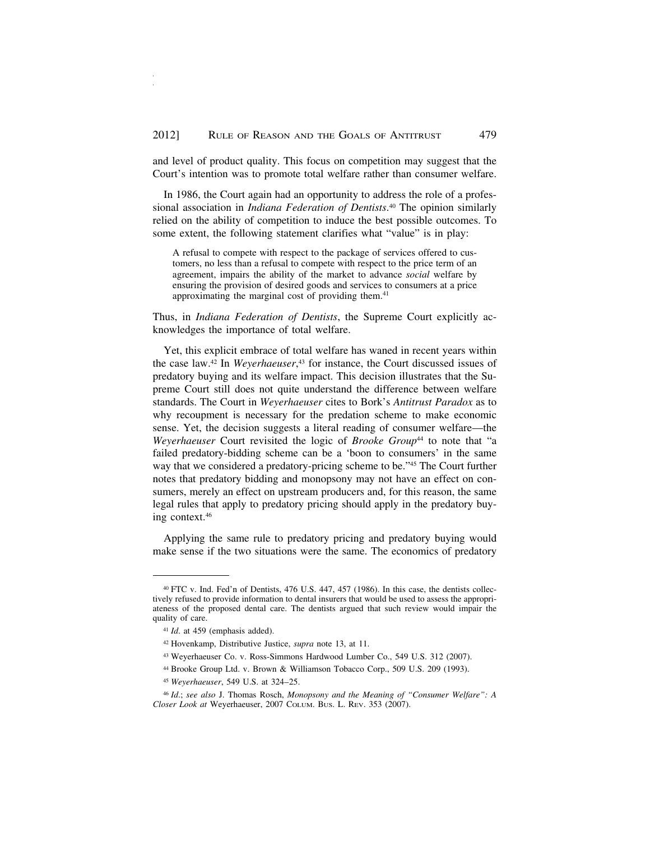and level of product quality. This focus on competition may suggest that the Court's intention was to promote total welfare rather than consumer welfare.

In 1986, the Court again had an opportunity to address the role of a professional association in *Indiana Federation of Dentists*. 40 The opinion similarly relied on the ability of competition to induce the best possible outcomes. To some extent, the following statement clarifies what "value" is in play:

A refusal to compete with respect to the package of services offered to customers, no less than a refusal to compete with respect to the price term of an agreement, impairs the ability of the market to advance *social* welfare by ensuring the provision of desired goods and services to consumers at a price approximating the marginal cost of providing them.<sup>41</sup>

Thus, in *Indiana Federation of Dentists*, the Supreme Court explicitly acknowledges the importance of total welfare.

Yet, this explicit embrace of total welfare has waned in recent years within the case law.42 In *Weyerhaeuser*, 43 for instance, the Court discussed issues of predatory buying and its welfare impact. This decision illustrates that the Supreme Court still does not quite understand the difference between welfare standards. The Court in *Weyerhaeuser* cites to Bork's *Antitrust Paradox* as to why recoupment is necessary for the predation scheme to make economic sense. Yet, the decision suggests a literal reading of consumer welfare—the *Weyerhaeuser* Court revisited the logic of *Brooke Group*<sup>44</sup> to note that "a failed predatory-bidding scheme can be a 'boon to consumers' in the same way that we considered a predatory-pricing scheme to be."45 The Court further notes that predatory bidding and monopsony may not have an effect on consumers, merely an effect on upstream producers and, for this reason, the same legal rules that apply to predatory pricing should apply in the predatory buying context.46

Applying the same rule to predatory pricing and predatory buying would make sense if the two situations were the same. The economics of predatory

<sup>40</sup> FTC v. Ind. Fed'n of Dentists, 476 U.S. 447, 457 (1986). In this case, the dentists collectively refused to provide information to dental insurers that would be used to assess the appropriateness of the proposed dental care. The dentists argued that such review would impair the quality of care.

<sup>41</sup> *Id*. at 459 (emphasis added).

<sup>42</sup> Hovenkamp, Distributive Justice, *supra* note 13, at 11.

<sup>43</sup> Weyerhaeuser Co. v. Ross-Simmons Hardwood Lumber Co., 549 U.S. 312 (2007).

<sup>44</sup> Brooke Group Ltd. v. Brown & Williamson Tobacco Corp., 509 U.S. 209 (1993).

<sup>45</sup> *Weyerhaeuser*, 549 U.S. at 324–25.

<sup>46</sup> *Id*.; *see also* J. Thomas Rosch, *Monopsony and the Meaning of "Consumer Welfare": A Closer Look at* Weyerhaeuser, 2007 COLUM. BUS. L. REV. 353 (2007).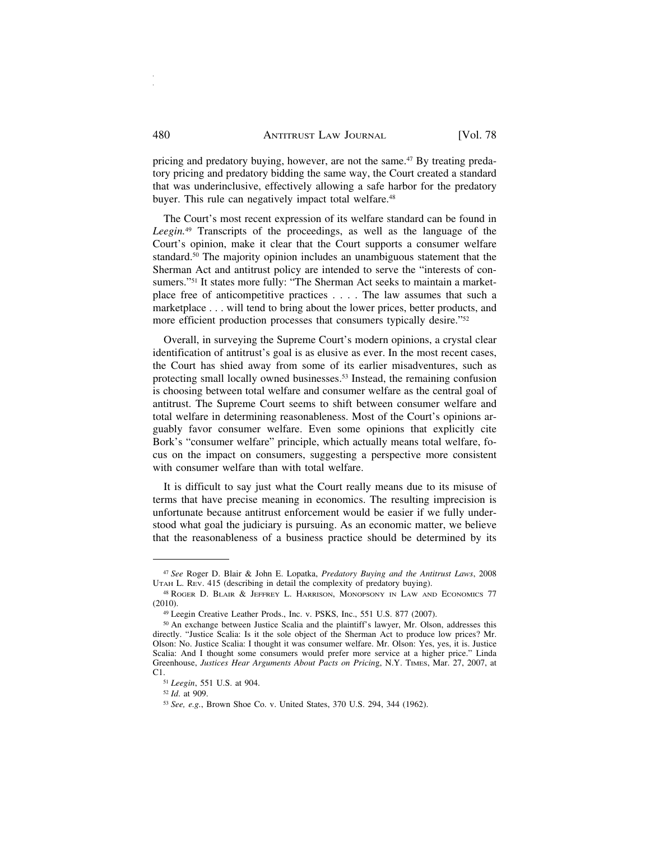pricing and predatory buying, however, are not the same.47 By treating predatory pricing and predatory bidding the same way, the Court created a standard that was underinclusive, effectively allowing a safe harbor for the predatory buyer. This rule can negatively impact total welfare.<sup>48</sup>

The Court's most recent expression of its welfare standard can be found in *Leegin.*49 Transcripts of the proceedings, as well as the language of the Court's opinion, make it clear that the Court supports a consumer welfare standard.<sup>50</sup> The majority opinion includes an unambiguous statement that the Sherman Act and antitrust policy are intended to serve the "interests of consumers."51 It states more fully: "The Sherman Act seeks to maintain a marketplace free of anticompetitive practices . . . . The law assumes that such a marketplace . . . will tend to bring about the lower prices, better products, and more efficient production processes that consumers typically desire."52

Overall, in surveying the Supreme Court's modern opinions, a crystal clear identification of antitrust's goal is as elusive as ever. In the most recent cases, the Court has shied away from some of its earlier misadventures, such as protecting small locally owned businesses.53 Instead, the remaining confusion is choosing between total welfare and consumer welfare as the central goal of antitrust. The Supreme Court seems to shift between consumer welfare and total welfare in determining reasonableness. Most of the Court's opinions arguably favor consumer welfare. Even some opinions that explicitly cite Bork's "consumer welfare" principle, which actually means total welfare, focus on the impact on consumers, suggesting a perspective more consistent with consumer welfare than with total welfare.

It is difficult to say just what the Court really means due to its misuse of terms that have precise meaning in economics. The resulting imprecision is unfortunate because antitrust enforcement would be easier if we fully understood what goal the judiciary is pursuing. As an economic matter, we believe that the reasonableness of a business practice should be determined by its

<sup>47</sup> *See* Roger D. Blair & John E. Lopatka, *Predatory Buying and the Antitrust Laws*, 2008 UTAH L. REV. 415 (describing in detail the complexity of predatory buying).

<sup>48</sup> ROGER D. BLAIR & JEFFREY L. HARRISON, MONOPSONY IN LAW AND ECONOMICS 77 (2010).

<sup>49</sup> Leegin Creative Leather Prods., Inc. v. PSKS, Inc., 551 U.S. 877 (2007).

<sup>50</sup> An exchange between Justice Scalia and the plaintiff's lawyer, Mr. Olson, addresses this directly. "Justice Scalia: Is it the sole object of the Sherman Act to produce low prices? Mr. Olson: No. Justice Scalia: I thought it was consumer welfare. Mr. Olson: Yes, yes, it is. Justice Scalia: And I thought some consumers would prefer more service at a higher price." Linda Greenhouse, *Justices Hear Arguments About Pacts on Pricin*g, N.Y. TIMES, Mar. 27, 2007, at

C1.51 *Leegin*, 551 U.S. at 904.

<sup>52</sup> *Id*. at 909.

<sup>53</sup> *See, e.g.*, Brown Shoe Co. v. United States, 370 U.S. 294, 344 (1962).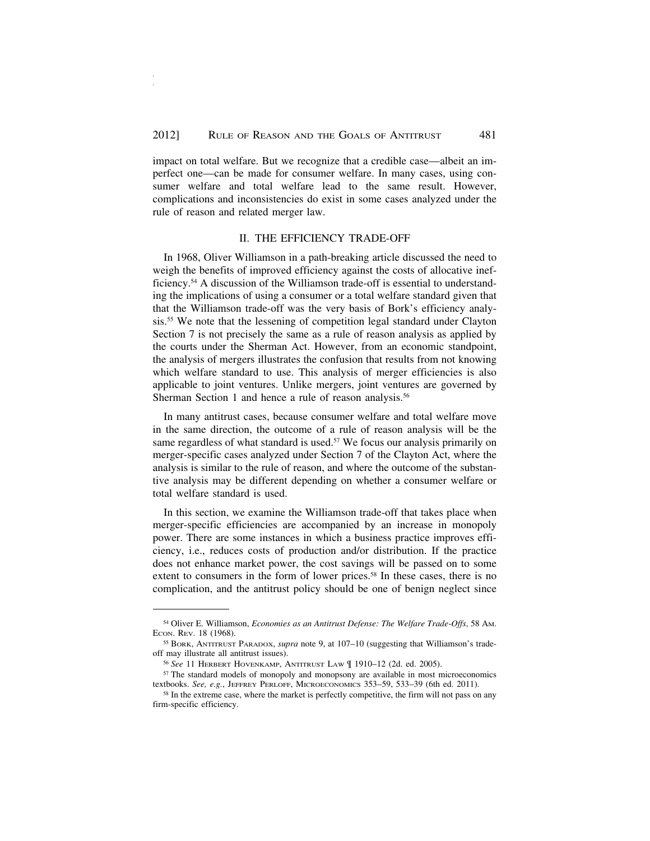impact on total welfare. But we recognize that a credible case—albeit an imperfect one—can be made for consumer welfare. In many cases, using consumer welfare and total welfare lead to the same result. However, complications and inconsistencies do exist in some cases analyzed under the rule of reason and related merger law.

#### II. THE EFFICIENCY TRADE-OFF

In 1968, Oliver Williamson in a path-breaking article discussed the need to weigh the benefits of improved efficiency against the costs of allocative inefficiency.54 A discussion of the Williamson trade-off is essential to understanding the implications of using a consumer or a total welfare standard given that that the Williamson trade-off was the very basis of Bork's efficiency analysis.55 We note that the lessening of competition legal standard under Clayton Section 7 is not precisely the same as a rule of reason analysis as applied by the courts under the Sherman Act. However, from an economic standpoint, the analysis of mergers illustrates the confusion that results from not knowing which welfare standard to use. This analysis of merger efficiencies is also applicable to joint ventures. Unlike mergers, joint ventures are governed by Sherman Section 1 and hence a rule of reason analysis.<sup>56</sup>

In many antitrust cases, because consumer welfare and total welfare move in the same direction, the outcome of a rule of reason analysis will be the same regardless of what standard is used.<sup>57</sup> We focus our analysis primarily on merger-specific cases analyzed under Section 7 of the Clayton Act, where the analysis is similar to the rule of reason, and where the outcome of the substantive analysis may be different depending on whether a consumer welfare or total welfare standard is used.

In this section, we examine the Williamson trade-off that takes place when merger-specific efficiencies are accompanied by an increase in monopoly power. There are some instances in which a business practice improves efficiency, i.e., reduces costs of production and/or distribution. If the practice does not enhance market power, the cost savings will be passed on to some extent to consumers in the form of lower prices.<sup>58</sup> In these cases, there is no complication, and the antitrust policy should be one of benign neglect since

<sup>54</sup> Oliver E. Williamson, *Economies as an Antitrust Defense: The Welfare Trade-Offs*, 58 AM. ECON. REV. 18 (1968).

<sup>55</sup> BORK, ANTITRUST PARADOX, *supra* note 9, at 107–10 (suggesting that Williamson's tradeoff may illustrate all antitrust issues).

<sup>56</sup> *See* 11 HERBERT HOVENKAMP, ANTITRUST LAW ¶ 1910–12 (2d. ed. 2005).

<sup>57</sup> The standard models of monopoly and monopsony are available in most microeconomics textbooks. *See, e.g.*, JEFFREY PERLOFF, MICROECONOMICS 353-59, 533-39 (6th ed. 2011).

<sup>&</sup>lt;sup>58</sup> In the extreme case, where the market is perfectly competitive, the firm will not pass on any firm-specific efficiency.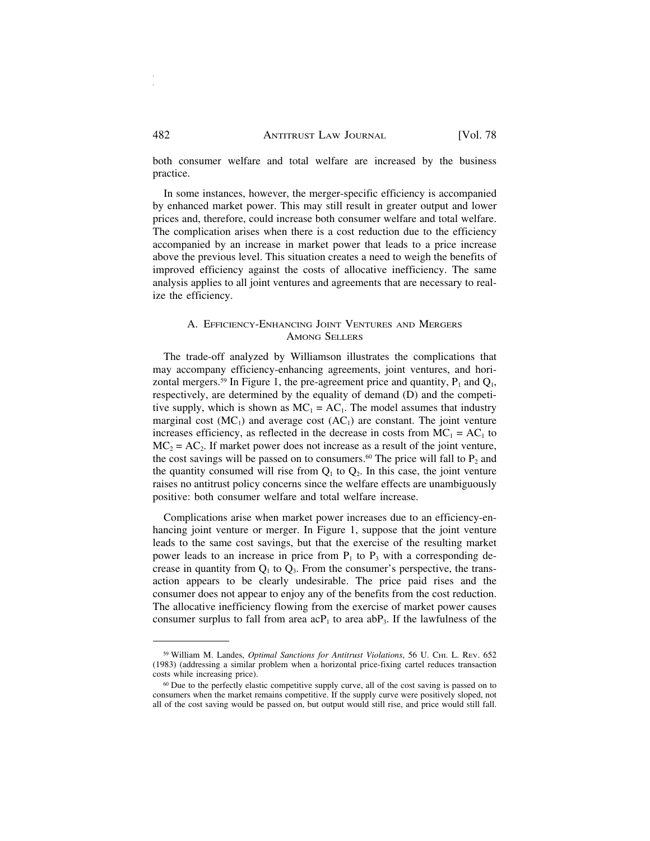both consumer welfare and total welfare are increased by the business practice.

In some instances, however, the merger-specific efficiency is accompanied by enhanced market power. This may still result in greater output and lower prices and, therefore, could increase both consumer welfare and total welfare. The complication arises when there is a cost reduction due to the efficiency accompanied by an increase in market power that leads to a price increase above the previous level. This situation creates a need to weigh the benefits of improved efficiency against the costs of allocative inefficiency. The same analysis applies to all joint ventures and agreements that are necessary to realize the efficiency.

### A. EFFICIENCY-ENHANCING JOINT VENTURES AND MERGERS AMONG SELLERS

The trade-off analyzed by Williamson illustrates the complications that may accompany efficiency-enhancing agreements, joint ventures, and horizontal mergers.<sup>59</sup> In Figure 1, the pre-agreement price and quantity,  $P_1$  and  $Q_1$ , respectively, are determined by the equality of demand (D) and the competitive supply, which is shown as  $MC_1 = AC_1$ . The model assumes that industry marginal cost  $(MC_1)$  and average cost  $(AC_1)$  are constant. The joint venture increases efficiency, as reflected in the decrease in costs from  $MC_1 = AC_1$  to  $MC<sub>2</sub> = AC<sub>2</sub>$ . If market power does not increase as a result of the joint venture, the cost savings will be passed on to consumers.<sup>60</sup> The price will fall to  $P_2$  and the quantity consumed will rise from  $Q_1$  to  $Q_2$ . In this case, the joint venture raises no antitrust policy concerns since the welfare effects are unambiguously positive: both consumer welfare and total welfare increase.

Complications arise when market power increases due to an efficiency-enhancing joint venture or merger. In Figure 1, suppose that the joint venture leads to the same cost savings, but that the exercise of the resulting market power leads to an increase in price from  $P_1$  to  $P_3$  with a corresponding decrease in quantity from  $Q_1$  to  $Q_3$ . From the consumer's perspective, the transaction appears to be clearly undesirable. The price paid rises and the consumer does not appear to enjoy any of the benefits from the cost reduction. The allocative inefficiency flowing from the exercise of market power causes consumer surplus to fall from area  $acP_1$  to area  $abP_3$ . If the lawfulness of the

<sup>59</sup> William M. Landes, *Optimal Sanctions for Antitrust Violations*, 56 U. CHI. L. REV. 652 (1983) (addressing a similar problem when a horizontal price-fixing cartel reduces transaction costs while increasing price).

<sup>60</sup> Due to the perfectly elastic competitive supply curve, all of the cost saving is passed on to consumers when the market remains competitive. If the supply curve were positively sloped, not all of the cost saving would be passed on, but output would still rise, and price would still fall.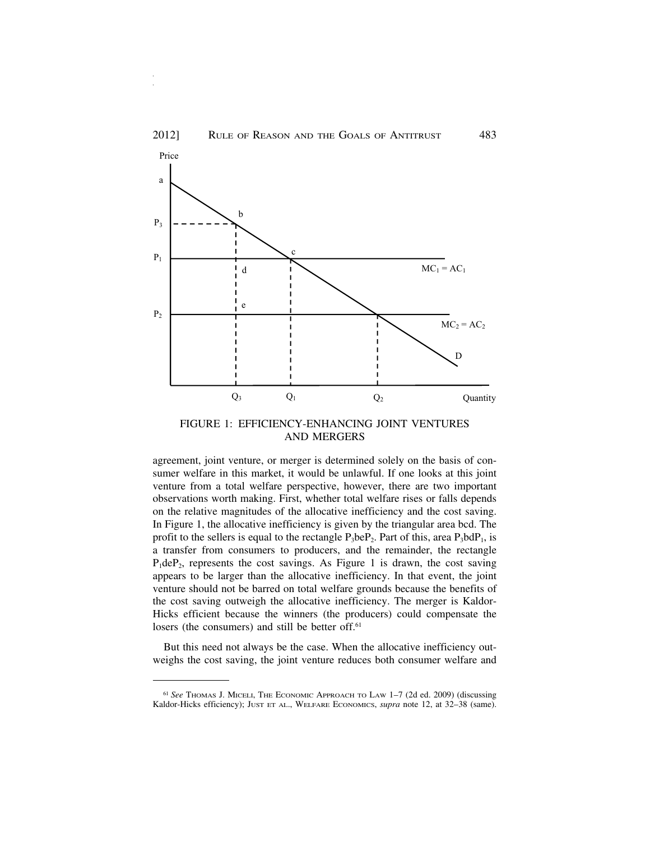



FIGURE 1: EFFICIENCY-ENHANCING JOINT VENTURES AND MERGERS

agreement, joint venture, or merger is determined solely on the basis of consumer welfare in this market, it would be unlawful. If one looks at this joint venture from a total welfare perspective, however, there are two important observations worth making. First, whether total welfare rises or falls depends on the relative magnitudes of the allocative inefficiency and the cost saving. In Figure 1, the allocative inefficiency is given by the triangular area bcd. The profit to the sellers is equal to the rectangle  $P_3$ be $P_2$ . Part of this, area  $P_3$ bd $P_1$ , is a transfer from consumers to producers, and the remainder, the rectangle  $P_1$ de $P_2$ , represents the cost savings. As Figure 1 is drawn, the cost saving appears to be larger than the allocative inefficiency. In that event, the joint venture should not be barred on total welfare grounds because the benefits of the cost saving outweigh the allocative inefficiency. The merger is Kaldor-Hicks efficient because the winners (the producers) could compensate the losers (the consumers) and still be better off.<sup>61</sup>

But this need not always be the case. When the allocative inefficiency outweighs the cost saving, the joint venture reduces both consumer welfare and

<sup>61</sup> *See* THOMAS J. MICELI, THE ECONOMIC APPROACH TO LAW 1–7 (2d ed. 2009) (discussing Kaldor-Hicks efficiency); JUST ET AL., WELFARE ECONOMICS, *supra* note 12, at 32–38 (same).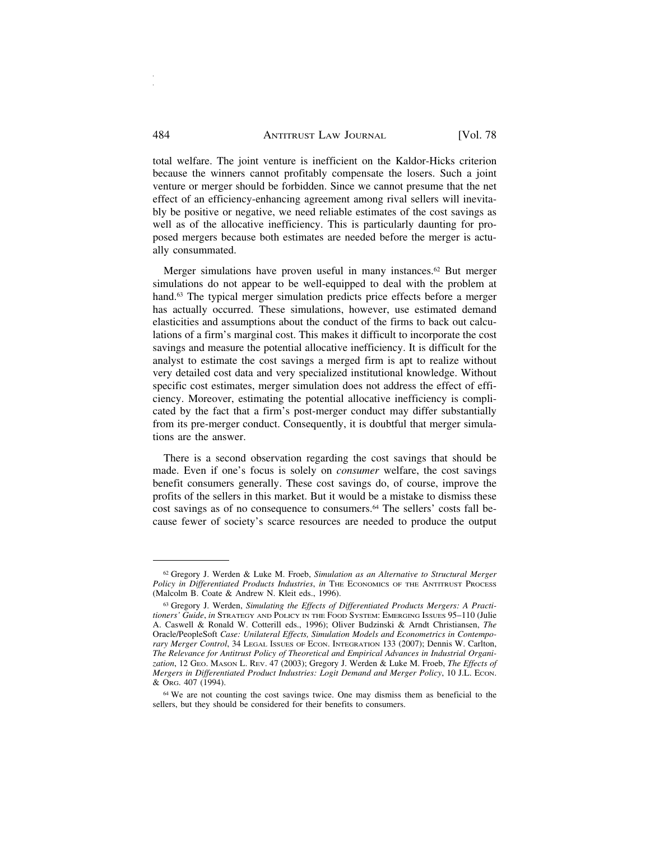total welfare. The joint venture is inefficient on the Kaldor-Hicks criterion because the winners cannot profitably compensate the losers. Such a joint venture or merger should be forbidden. Since we cannot presume that the net effect of an efficiency-enhancing agreement among rival sellers will inevitably be positive or negative, we need reliable estimates of the cost savings as well as of the allocative inefficiency. This is particularly daunting for proposed mergers because both estimates are needed before the merger is actually consummated.

Merger simulations have proven useful in many instances.<sup>62</sup> But merger simulations do not appear to be well-equipped to deal with the problem at hand.<sup>63</sup> The typical merger simulation predicts price effects before a merger has actually occurred. These simulations, however, use estimated demand elasticities and assumptions about the conduct of the firms to back out calculations of a firm's marginal cost. This makes it difficult to incorporate the cost savings and measure the potential allocative inefficiency. It is difficult for the analyst to estimate the cost savings a merged firm is apt to realize without very detailed cost data and very specialized institutional knowledge. Without specific cost estimates, merger simulation does not address the effect of efficiency. Moreover, estimating the potential allocative inefficiency is complicated by the fact that a firm's post-merger conduct may differ substantially from its pre-merger conduct. Consequently, it is doubtful that merger simulations are the answer.

There is a second observation regarding the cost savings that should be made. Even if one's focus is solely on *consumer* welfare, the cost savings benefit consumers generally. These cost savings do, of course, improve the profits of the sellers in this market. But it would be a mistake to dismiss these cost savings as of no consequence to consumers.<sup>64</sup> The sellers' costs fall because fewer of society's scarce resources are needed to produce the output

<sup>62</sup> Gregory J. Werden & Luke M. Froeb, *Simulation as an Alternative to Structural Merger Policy in Differentiated Products Industries*, *in* THE ECONOMICS OF THE ANTITRUST PROCESS (Malcolm B. Coate & Andrew N. Kleit eds., 1996).

<sup>63</sup> Gregory J. Werden, *Simulating the Effects of Differentiated Products Mergers: A Practitioners' Guide*, *in* STRATEGY AND POLICY IN THE FOOD SYSTEM: EMERGING ISSUES 95–110 (Julie A. Caswell & Ronald W. Cotterill eds., 1996); Oliver Budzinski & Arndt Christiansen, *The* Oracle/PeopleSoft *Case: Unilateral Effects, Simulation Models and Econometrics in Contemporary Merger Control*, 34 LEGAL ISSUES OF ECON. INTEGRATION 133 (2007); Dennis W. Carlton, *The Relevance for Antitrust Policy of Theoretical and Empirical Advances in Industrial Organization*, 12 GEO. MASON L. REV. 47 (2003); Gregory J. Werden & Luke M. Froeb, *The Effects of Mergers in Differentiated Product Industries: Logit Demand and Merger Policy*, 10 J.L. ECON. & ORG. 407 (1994).

<sup>64</sup> We are not counting the cost savings twice. One may dismiss them as beneficial to the sellers, but they should be considered for their benefits to consumers.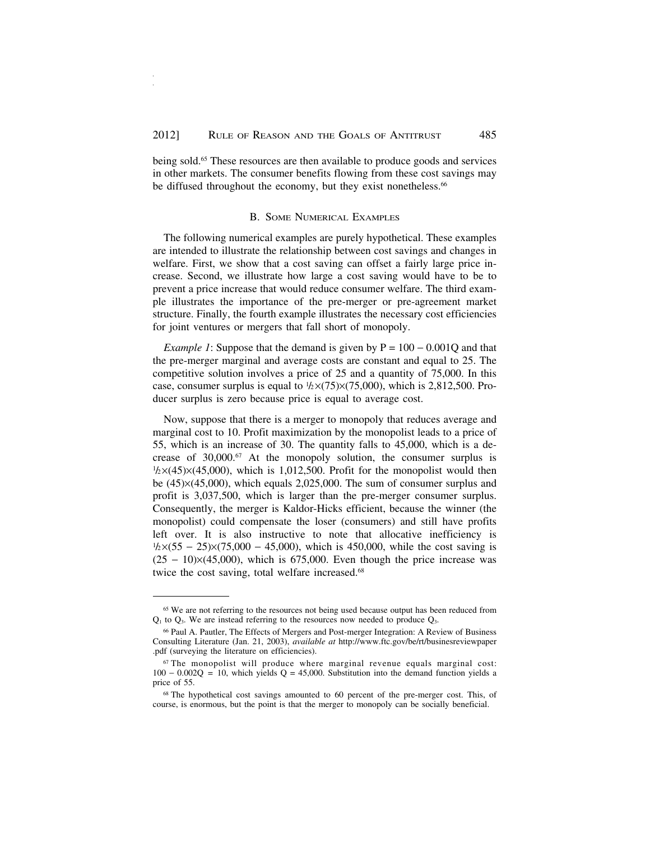being sold.65 These resources are then available to produce goods and services in other markets. The consumer benefits flowing from these cost savings may be diffused throughout the economy, but they exist nonetheless.<sup>66</sup>

#### B. SOME NUMERICAL EXAMPLES

The following numerical examples are purely hypothetical. These examples are intended to illustrate the relationship between cost savings and changes in welfare. First, we show that a cost saving can offset a fairly large price increase. Second, we illustrate how large a cost saving would have to be to prevent a price increase that would reduce consumer welfare. The third example illustrates the importance of the pre-merger or pre-agreement market structure. Finally, the fourth example illustrates the necessary cost efficiencies for joint ventures or mergers that fall short of monopoly.

*Example 1*: Suppose that the demand is given by  $P = 100 - 0.001Q$  and that the pre-merger marginal and average costs are constant and equal to 25. The competitive solution involves a price of 25 and a quantity of 75,000. In this case, consumer surplus is equal to  $1/2\times(75)\times(75,000)$ , which is 2,812,500. Producer surplus is zero because price is equal to average cost.

Now, suppose that there is a merger to monopoly that reduces average and marginal cost to 10. Profit maximization by the monopolist leads to a price of 55, which is an increase of 30. The quantity falls to 45,000, which is a decrease of 30,000.<sup>67</sup> At the monopoly solution, the consumer surplus is  $\frac{1}{2}$  ×(45)×(45,000), which is 1,012,500. Profit for the monopolist would then be (45)×(45,000), which equals 2,025,000. The sum of consumer surplus and profit is 3,037,500, which is larger than the pre-merger consumer surplus. Consequently, the merger is Kaldor-Hicks efficient, because the winner (the monopolist) could compensate the loser (consumers) and still have profits left over. It is also instructive to note that allocative inefficiency is  $\frac{1}{2}$  ×(55 – 25)×(75,000 – 45,000), which is 450,000, while the cost saving is  $(25 - 10)\times(45,000)$ , which is 675,000. Even though the price increase was twice the cost saving, total welfare increased.<sup>68</sup>

<sup>&</sup>lt;sup>65</sup> We are not referring to the resources not being used because output has been reduced from  $Q_1$  to  $Q_3$ . We are instead referring to the resources now needed to produce  $Q_3$ .

<sup>66</sup> Paul A. Pautler, The Effects of Mergers and Post-merger Integration: A Review of Business Consulting Literature (Jan. 21, 2003), *available at* http://www.ftc.gov/be/rt/businesreviewpaper .pdf (surveying the literature on efficiencies).

<sup>67</sup> The monopolist will produce where marginal revenue equals marginal cost:  $100 - 0.002Q = 10$ , which yields Q = 45,000. Substitution into the demand function yields a price of 55.

<sup>68</sup> The hypothetical cost savings amounted to 60 percent of the pre-merger cost. This, of course, is enormous, but the point is that the merger to monopoly can be socially beneficial.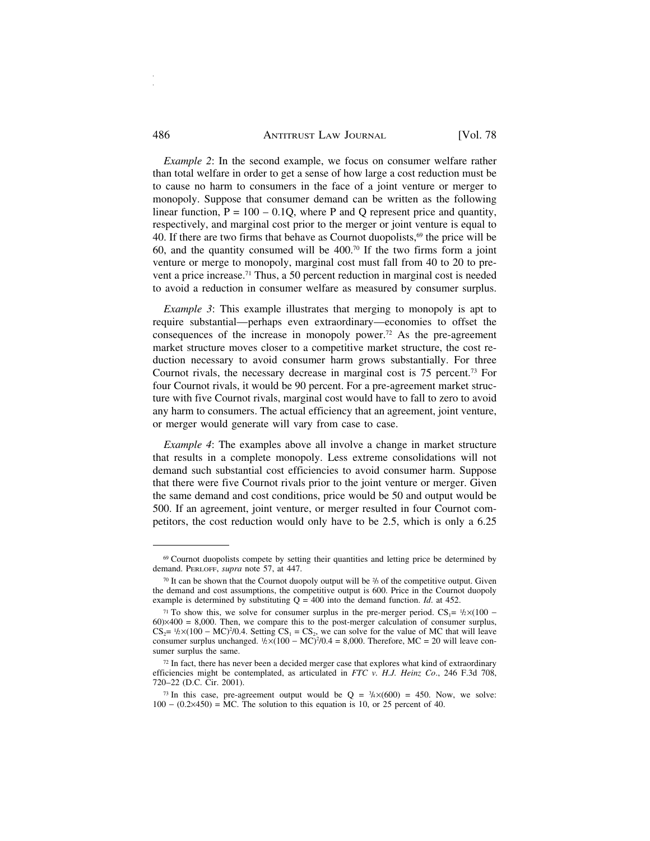#### 486 ANTITRUST LAW JOURNAL [Vol. 78]

*Example 2*: In the second example, we focus on consumer welfare rather than total welfare in order to get a sense of how large a cost reduction must be to cause no harm to consumers in the face of a joint venture or merger to monopoly. Suppose that consumer demand can be written as the following linear function,  $P = 100 - 0.1Q$ , where P and Q represent price and quantity, respectively, and marginal cost prior to the merger or joint venture is equal to 40. If there are two firms that behave as Cournot duopolists, $69$  the price will be 60, and the quantity consumed will be 400.70 If the two firms form a joint venture or merge to monopoly, marginal cost must fall from 40 to 20 to prevent a price increase.71 Thus, a 50 percent reduction in marginal cost is needed to avoid a reduction in consumer welfare as measured by consumer surplus.

*Example 3*: This example illustrates that merging to monopoly is apt to require substantial—perhaps even extraordinary—economies to offset the consequences of the increase in monopoly power.72 As the pre-agreement market structure moves closer to a competitive market structure, the cost reduction necessary to avoid consumer harm grows substantially. For three Cournot rivals, the necessary decrease in marginal cost is 75 percent.<sup>73</sup> For four Cournot rivals, it would be 90 percent. For a pre-agreement market structure with five Cournot rivals, marginal cost would have to fall to zero to avoid any harm to consumers. The actual efficiency that an agreement, joint venture, or merger would generate will vary from case to case.

*Example 4*: The examples above all involve a change in market structure that results in a complete monopoly. Less extreme consolidations will not demand such substantial cost efficiencies to avoid consumer harm. Suppose that there were five Cournot rivals prior to the joint venture or merger. Given the same demand and cost conditions, price would be 50 and output would be 500. If an agreement, joint venture, or merger resulted in four Cournot competitors, the cost reduction would only have to be 2.5, which is only a 6.25

<sup>&</sup>lt;sup>69</sup> Cournot duopolists compete by setting their quantities and letting price be determined by demand. PERLOFF, *supra* note 57, at 447.

<sup>&</sup>lt;sup>70</sup> It can be shown that the Cournot duopoly output will be  $\frac{2}{3}$  of the competitive output. Given the demand and cost assumptions, the competitive output is 600. Price in the Cournot duopoly example is determined by substituting  $Q = 400$  into the demand function. *Id.* at 452.

<sup>&</sup>lt;sup>71</sup> To show this, we solve for consumer surplus in the pre-merger period.  $CS_1 = \frac{1}{2} \times (100 - 1)$  $60 \times 400 = 8,000$ . Then, we compare this to the post-merger calculation of consumer surplus,  $CS_2 = \frac{1}{2} \times (100 - \text{MC})^2/0.4$ . Setting  $CS_1 = CS_2$ , we can solve for the value of MC that will leave consumer surplus unchanged.  $\frac{1}{2} \times (100 - \text{MC})^2/0.4 = 8,000$ . Therefore, MC = 20 will leave consumer surplus the same.

<sup>72</sup> In fact, there has never been a decided merger case that explores what kind of extraordinary efficiencies might be contemplated, as articulated in *FTC v. H.J. Heinz Co*., 246 F.3d 708, 720–22 (D.C. Cir. 2001).

<sup>&</sup>lt;sup>73</sup> In this case, pre-agreement output would be  $Q = \frac{3}{4} \times (600) = 450$ . Now, we solve: 100 − (0.2×450) = MC. The solution to this equation is 10, or 25 percent of 40.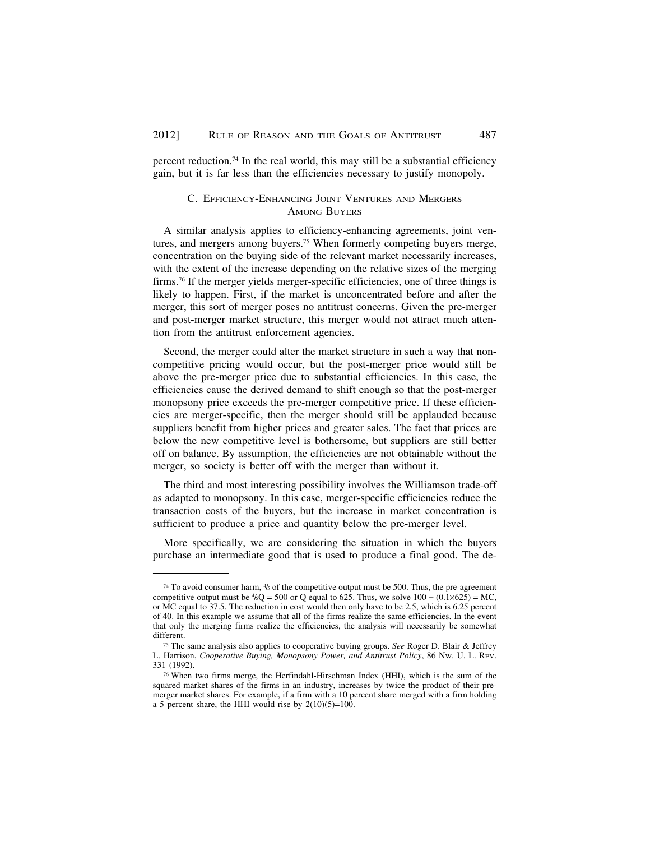percent reduction.74 In the real world, this may still be a substantial efficiency gain, but it is far less than the efficiencies necessary to justify monopoly.

#### C. EFFICIENCY-ENHANCING JOINT VENTURES AND MERGERS AMONG BUYERS

A similar analysis applies to efficiency-enhancing agreements, joint ventures, and mergers among buyers.75 When formerly competing buyers merge, concentration on the buying side of the relevant market necessarily increases, with the extent of the increase depending on the relative sizes of the merging firms.76 If the merger yields merger-specific efficiencies, one of three things is likely to happen. First, if the market is unconcentrated before and after the merger, this sort of merger poses no antitrust concerns. Given the pre-merger and post-merger market structure, this merger would not attract much attention from the antitrust enforcement agencies.

Second, the merger could alter the market structure in such a way that noncompetitive pricing would occur, but the post-merger price would still be above the pre-merger price due to substantial efficiencies. In this case, the efficiencies cause the derived demand to shift enough so that the post-merger monopsony price exceeds the pre-merger competitive price. If these efficiencies are merger-specific, then the merger should still be applauded because suppliers benefit from higher prices and greater sales. The fact that prices are below the new competitive level is bothersome, but suppliers are still better off on balance. By assumption, the efficiencies are not obtainable without the merger, so society is better off with the merger than without it.

The third and most interesting possibility involves the Williamson trade-off as adapted to monopsony. In this case, merger-specific efficiencies reduce the transaction costs of the buyers, but the increase in market concentration is sufficient to produce a price and quantity below the pre-merger level.

More specifically, we are considering the situation in which the buyers purchase an intermediate good that is used to produce a final good. The de-

<sup>&</sup>lt;sup>74</sup> To avoid consumer harm,  $\frac{4}{5}$  of the competitive output must be 500. Thus, the pre-agreement competitive output must be  $\frac{4}{5}Q = 500$  or Q equal to 625. Thus, we solve  $100 - (0.1 \times 625) = MC$ , or MC equal to 37.5. The reduction in cost would then only have to be 2.5, which is 6.25 percent of 40. In this example we assume that all of the firms realize the same efficiencies. In the event that only the merging firms realize the efficiencies, the analysis will necessarily be somewhat different.

<sup>75</sup> The same analysis also applies to cooperative buying groups. *See* Roger D. Blair & Jeffrey L. Harrison, *Cooperative Buying, Monopsony Power, and Antitrust Policy*, 86 NW. U. L. REV. 331 (1992).

<sup>76</sup> When two firms merge, the Herfindahl-Hirschman Index (HHI), which is the sum of the squared market shares of the firms in an industry, increases by twice the product of their premerger market shares. For example, if a firm with a 10 percent share merged with a firm holding a 5 percent share, the HHI would rise by  $2(10)(5)=100$ .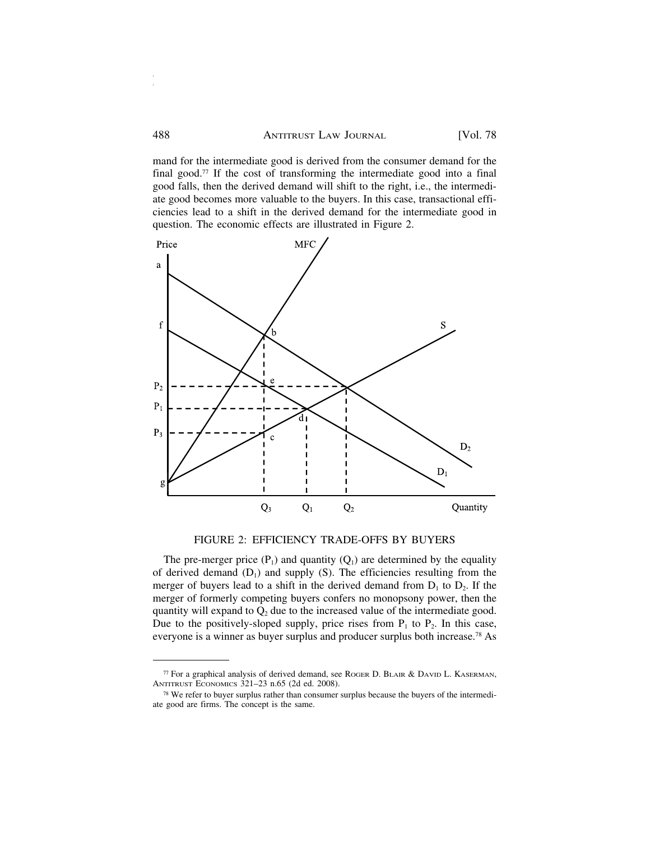mand for the intermediate good is derived from the consumer demand for the final good.<sup>77</sup> If the cost of transforming the intermediate good into a final good falls, then the derived demand will shift to the right, i.e., the intermediate good becomes more valuable to the buyers. In this case, transactional efficiencies lead to a shift in the derived demand for the intermediate good in question. The economic effects are illustrated in Figure 2.



FIGURE 2: EFFICIENCY TRADE-OFFS BY BUYERS

The pre-merger price  $(P_1)$  and quantity  $(Q_1)$  are determined by the equality of derived demand  $(D_1)$  and supply  $(S)$ . The efficiencies resulting from the merger of buyers lead to a shift in the derived demand from  $D_1$  to  $D_2$ . If the merger of formerly competing buyers confers no monopsony power, then the quantity will expand to  $Q_2$  due to the increased value of the intermediate good. Due to the positively-sloped supply, price rises from  $P_1$  to  $P_2$ . In this case, everyone is a winner as buyer surplus and producer surplus both increase.78 As

<sup>77</sup> For a graphical analysis of derived demand, see ROGER D. BLAIR & DAVID L. KASERMAN, ANTITRUST ECONOMICS 321–23 n.65 (2d ed. 2008).

<sup>78</sup> We refer to buyer surplus rather than consumer surplus because the buyers of the intermediate good are firms. The concept is the same.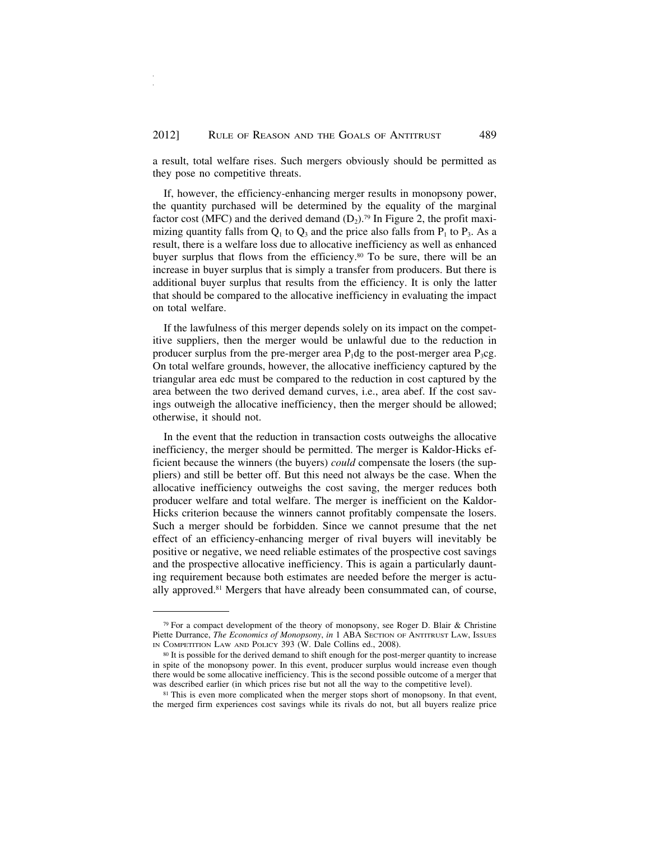a result, total welfare rises. Such mergers obviously should be permitted as they pose no competitive threats.

If, however, the efficiency-enhancing merger results in monopsony power, the quantity purchased will be determined by the equality of the marginal factor cost (MFC) and the derived demand  $(D_2)$ .<sup>79</sup> In Figure 2, the profit maximizing quantity falls from  $Q_1$  to  $Q_3$  and the price also falls from  $P_1$  to  $P_3$ . As a result, there is a welfare loss due to allocative inefficiency as well as enhanced buyer surplus that flows from the efficiency.<sup>80</sup> To be sure, there will be an increase in buyer surplus that is simply a transfer from producers. But there is additional buyer surplus that results from the efficiency. It is only the latter that should be compared to the allocative inefficiency in evaluating the impact on total welfare.

If the lawfulness of this merger depends solely on its impact on the competitive suppliers, then the merger would be unlawful due to the reduction in producer surplus from the pre-merger area  $P_1$ dg to the post-merger area  $P_3$ cg. On total welfare grounds, however, the allocative inefficiency captured by the triangular area edc must be compared to the reduction in cost captured by the area between the two derived demand curves, i.e., area abef. If the cost savings outweigh the allocative inefficiency, then the merger should be allowed; otherwise, it should not.

In the event that the reduction in transaction costs outweighs the allocative inefficiency, the merger should be permitted. The merger is Kaldor-Hicks efficient because the winners (the buyers) *could* compensate the losers (the suppliers) and still be better off. But this need not always be the case. When the allocative inefficiency outweighs the cost saving, the merger reduces both producer welfare and total welfare. The merger is inefficient on the Kaldor-Hicks criterion because the winners cannot profitably compensate the losers. Such a merger should be forbidden. Since we cannot presume that the net effect of an efficiency-enhancing merger of rival buyers will inevitably be positive or negative, we need reliable estimates of the prospective cost savings and the prospective allocative inefficiency. This is again a particularly daunting requirement because both estimates are needed before the merger is actually approved.<sup>81</sup> Mergers that have already been consummated can, of course,

<sup>79</sup> For a compact development of the theory of monopsony, see Roger D. Blair & Christine Piette Durrance, *The Economics of Monopsony*, *in* 1 ABA SECTION OF ANTITRUST LAW, ISSUES IN COMPETITION LAW AND POLICY 393 (W. Dale Collins ed., 2008).

<sup>80</sup> It is possible for the derived demand to shift enough for the post-merger quantity to increase in spite of the monopsony power. In this event, producer surplus would increase even though there would be some allocative inefficiency. This is the second possible outcome of a merger that was described earlier (in which prices rise but not all the way to the competitive level).

<sup>&</sup>lt;sup>81</sup> This is even more complicated when the merger stops short of monopsony. In that event, the merged firm experiences cost savings while its rivals do not, but all buyers realize price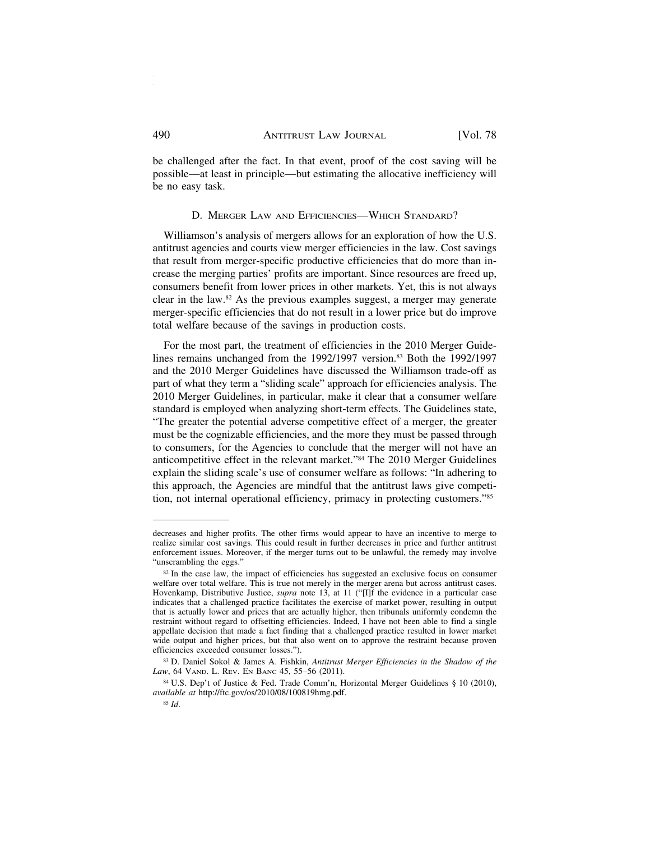be challenged after the fact. In that event, proof of the cost saving will be possible—at least in principle—but estimating the allocative inefficiency will be no easy task.

#### D. MERGER LAW AND EFFICIENCIES—WHICH STANDARD?

Williamson's analysis of mergers allows for an exploration of how the U.S. antitrust agencies and courts view merger efficiencies in the law. Cost savings that result from merger-specific productive efficiencies that do more than increase the merging parties' profits are important. Since resources are freed up, consumers benefit from lower prices in other markets. Yet, this is not always clear in the law.82 As the previous examples suggest, a merger may generate merger-specific efficiencies that do not result in a lower price but do improve total welfare because of the savings in production costs.

For the most part, the treatment of efficiencies in the 2010 Merger Guidelines remains unchanged from the 1992/1997 version.83 Both the 1992/1997 and the 2010 Merger Guidelines have discussed the Williamson trade-off as part of what they term a "sliding scale" approach for efficiencies analysis. The 2010 Merger Guidelines, in particular, make it clear that a consumer welfare standard is employed when analyzing short-term effects. The Guidelines state, "The greater the potential adverse competitive effect of a merger, the greater must be the cognizable efficiencies, and the more they must be passed through to consumers, for the Agencies to conclude that the merger will not have an anticompetitive effect in the relevant market."84 The 2010 Merger Guidelines explain the sliding scale's use of consumer welfare as follows: "In adhering to this approach, the Agencies are mindful that the antitrust laws give competition, not internal operational efficiency, primacy in protecting customers."85

decreases and higher profits. The other firms would appear to have an incentive to merge to realize similar cost savings. This could result in further decreases in price and further antitrust enforcement issues. Moreover, if the merger turns out to be unlawful, the remedy may involve "unscrambling the eggs."

<sup>&</sup>lt;sup>82</sup> In the case law, the impact of efficiencies has suggested an exclusive focus on consumer welfare over total welfare. This is true not merely in the merger arena but across antitrust cases. Hovenkamp, Distributive Justice, *supra* note 13, at 11 ("[I]f the evidence in a particular case indicates that a challenged practice facilitates the exercise of market power, resulting in output that is actually lower and prices that are actually higher, then tribunals uniformly condemn the restraint without regard to offsetting efficiencies. Indeed, I have not been able to find a single appellate decision that made a fact finding that a challenged practice resulted in lower market wide output and higher prices, but that also went on to approve the restraint because proven efficiencies exceeded consumer losses.").

<sup>83</sup> D. Daniel Sokol & James A. Fishkin, *Antitrust Merger Efficiencies in the Shadow of the Law*, 64 VAND. L. REV. EN BANC 45, 55–56 (2011).

<sup>84</sup> U.S. Dep't of Justice & Fed. Trade Comm'n, Horizontal Merger Guidelines § 10 (2010), *available at* http://ftc.gov/os/2010/08/100819hmg.pdf.

<sup>85</sup> *Id*.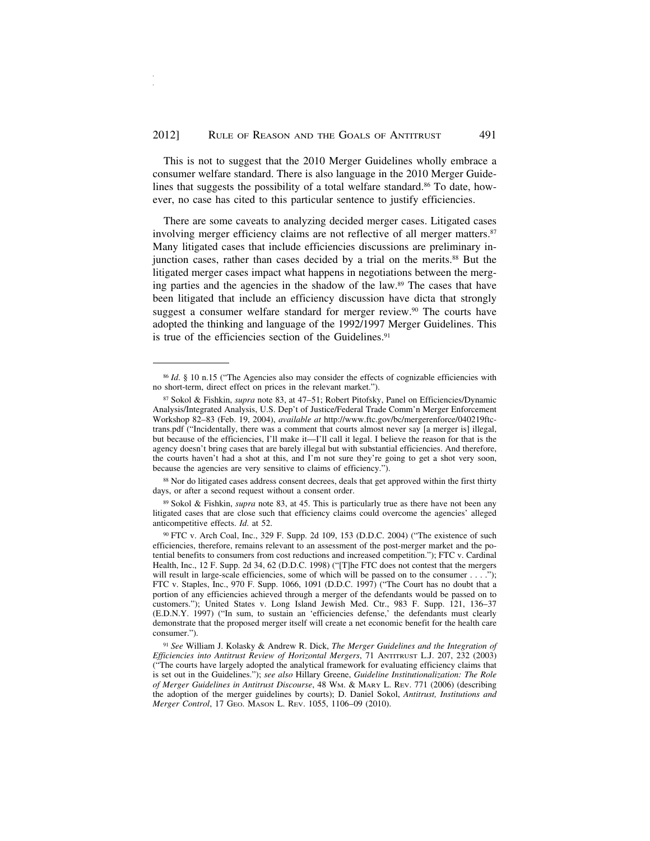This is not to suggest that the 2010 Merger Guidelines wholly embrace a consumer welfare standard. There is also language in the 2010 Merger Guidelines that suggests the possibility of a total welfare standard.<sup>86</sup> To date, however, no case has cited to this particular sentence to justify efficiencies.

There are some caveats to analyzing decided merger cases. Litigated cases involving merger efficiency claims are not reflective of all merger matters.<sup>87</sup> Many litigated cases that include efficiencies discussions are preliminary injunction cases, rather than cases decided by a trial on the merits.88 But the litigated merger cases impact what happens in negotiations between the merging parties and the agencies in the shadow of the law.89 The cases that have been litigated that include an efficiency discussion have dicta that strongly suggest a consumer welfare standard for merger review.<sup>90</sup> The courts have adopted the thinking and language of the 1992/1997 Merger Guidelines. This is true of the efficiencies section of the Guidelines.<sup>91</sup>

<sup>88</sup> Nor do litigated cases address consent decrees, deals that get approved within the first thirty days, or after a second request without a consent order.

<sup>89</sup> Sokol & Fishkin, *supra* note 83, at 45. This is particularly true as there have not been any litigated cases that are close such that efficiency claims could overcome the agencies' alleged anticompetitive effects. *Id*. at 52.

<sup>&</sup>lt;sup>86</sup> *Id.* § 10 n.15 ("The Agencies also may consider the effects of cognizable efficiencies with no short-term, direct effect on prices in the relevant market.").

<sup>87</sup> Sokol & Fishkin, *supra* note 83, at 47–51; Robert Pitofsky, Panel on Efficiencies/Dynamic Analysis/Integrated Analysis, U.S. Dep't of Justice/Federal Trade Comm'n Merger Enforcement Workshop 82–83 (Feb. 19, 2004), *available at* http://www.ftc.gov/bc/mergerenforce/040219ftctrans.pdf ("Incidentally, there was a comment that courts almost never say [a merger is] illegal, but because of the efficiencies, I'll make it—I'll call it legal. I believe the reason for that is the agency doesn't bring cases that are barely illegal but with substantial efficiencies. And therefore, the courts haven't had a shot at this, and I'm not sure they're going to get a shot very soon, because the agencies are very sensitive to claims of efficiency.").

<sup>90</sup> FTC v. Arch Coal, Inc., 329 F. Supp. 2d 109, 153 (D.D.C. 2004) ("The existence of such efficiencies, therefore, remains relevant to an assessment of the post-merger market and the potential benefits to consumers from cost reductions and increased competition."); FTC v. Cardinal Health, Inc., 12 F. Supp. 2d 34, 62 (D.D.C. 1998) ("[T]he FTC does not contest that the mergers will result in large-scale efficiencies, some of which will be passed on to the consumer  $\dots$ . FTC v. Staples, Inc., 970 F. Supp. 1066, 1091 (D.D.C. 1997) ("The Court has no doubt that a portion of any efficiencies achieved through a merger of the defendants would be passed on to customers."); United States v. Long Island Jewish Med. Ctr., 983 F. Supp. 121, 136–37 (E.D.N.Y. 1997) ("In sum, to sustain an 'efficiencies defense,' the defendants must clearly demonstrate that the proposed merger itself will create a net economic benefit for the health care consumer.").

<sup>91</sup> *See* William J. Kolasky & Andrew R. Dick, *The Merger Guidelines and the Integration of Efficiencies into Antitrust Review of Horizontal Mergers*, 71 ANTITRUST L.J. 207, 232 (2003) ("The courts have largely adopted the analytical framework for evaluating efficiency claims that is set out in the Guidelines."); *see also* Hillary Greene, *Guideline Institutionalization: The Role of Merger Guidelines in Antitrust Discourse*, 48 WM. & MARY L. REV. 771 (2006) (describing the adoption of the merger guidelines by courts); D. Daniel Sokol, *Antitrust, Institutions and Merger Control*, 17 GEO. MASON L. REV. 1055, 1106–09 (2010).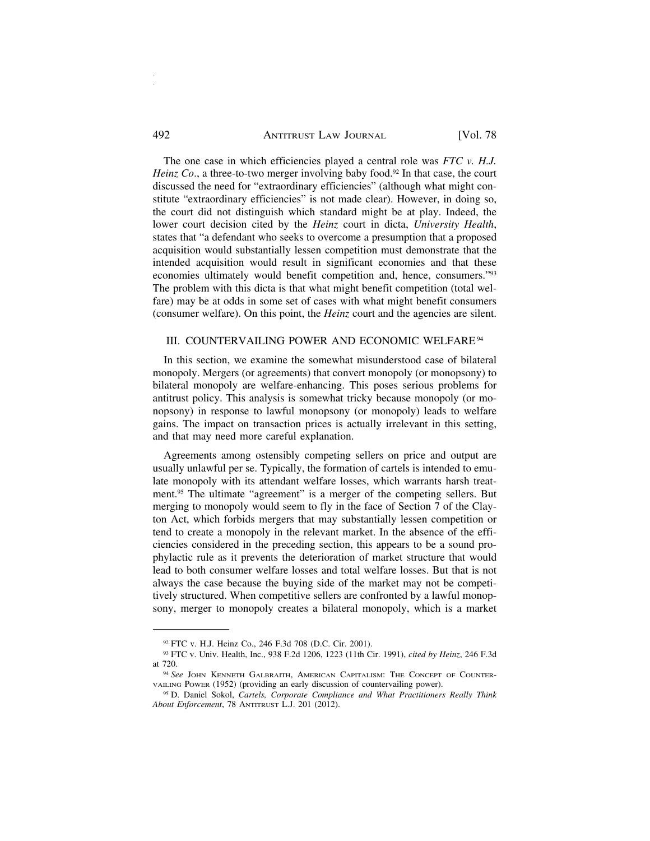#### 492 ANTITRUST LAW JOURNAL [Vol. 78]

The one case in which efficiencies played a central role was *FTC v. H.J. Heinz Co.*, a three-to-two merger involving baby food.<sup>92</sup> In that case, the court discussed the need for "extraordinary efficiencies" (although what might constitute "extraordinary efficiencies" is not made clear). However, in doing so, the court did not distinguish which standard might be at play. Indeed, the lower court decision cited by the *Heinz* court in dicta, *University Health*, states that "a defendant who seeks to overcome a presumption that a proposed acquisition would substantially lessen competition must demonstrate that the intended acquisition would result in significant economies and that these economies ultimately would benefit competition and, hence, consumers."93 The problem with this dicta is that what might benefit competition (total welfare) may be at odds in some set of cases with what might benefit consumers (consumer welfare). On this point, the *Heinz* court and the agencies are silent.

#### III. COUNTERVAILING POWER AND ECONOMIC WELFARE94

In this section, we examine the somewhat misunderstood case of bilateral monopoly. Mergers (or agreements) that convert monopoly (or monopsony) to bilateral monopoly are welfare-enhancing. This poses serious problems for antitrust policy. This analysis is somewhat tricky because monopoly (or monopsony) in response to lawful monopsony (or monopoly) leads to welfare gains. The impact on transaction prices is actually irrelevant in this setting, and that may need more careful explanation.

Agreements among ostensibly competing sellers on price and output are usually unlawful per se. Typically, the formation of cartels is intended to emulate monopoly with its attendant welfare losses, which warrants harsh treatment.95 The ultimate "agreement" is a merger of the competing sellers. But merging to monopoly would seem to fly in the face of Section 7 of the Clayton Act, which forbids mergers that may substantially lessen competition or tend to create a monopoly in the relevant market. In the absence of the efficiencies considered in the preceding section, this appears to be a sound prophylactic rule as it prevents the deterioration of market structure that would lead to both consumer welfare losses and total welfare losses. But that is not always the case because the buying side of the market may not be competitively structured. When competitive sellers are confronted by a lawful monopsony, merger to monopoly creates a bilateral monopoly, which is a market

<sup>92</sup> FTC v. H.J. Heinz Co., 246 F.3d 708 (D.C. Cir. 2001).

<sup>93</sup> FTC v. Univ. Health, Inc., 938 F.2d 1206, 1223 (11th Cir. 1991), *cited by Heinz*, 246 F.3d at 720.

<sup>94</sup> *See* JOHN KENNETH GALBRAITH, AMERICAN CAPITALISM: THE CONCEPT OF COUNTER-VAILING POWER (1952) (providing an early discussion of countervailing power).

<sup>95</sup> D. Daniel Sokol, *Cartels, Corporate Compliance and What Practitioners Really Think About Enforcement*, 78 ANTITRUST L.J. 201 (2012).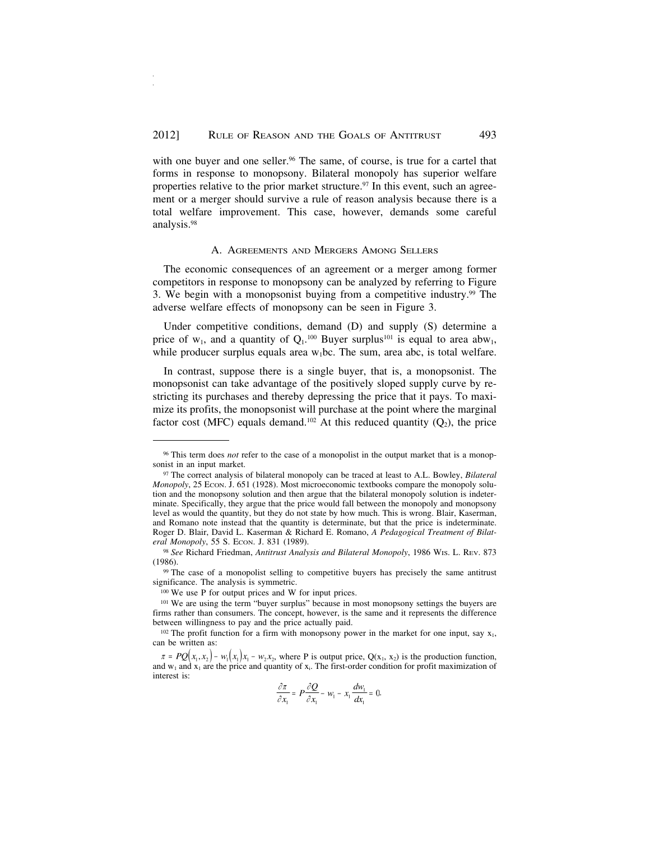with one buyer and one seller.<sup>96</sup> The same, of course, is true for a cartel that forms in response to monopsony. Bilateral monopoly has superior welfare properties relative to the prior market structure.<sup>97</sup> In this event, such an agreement or a merger should survive a rule of reason analysis because there is a total welfare improvement. This case, however, demands some careful analysis.98

#### A. AGREEMENTS AND MERGERS AMONG SELLERS

The economic consequences of an agreement or a merger among former competitors in response to monopsony can be analyzed by referring to Figure 3. We begin with a monopsonist buying from a competitive industry.99 The adverse welfare effects of monopsony can be seen in Figure 3.

Under competitive conditions, demand (D) and supply (S) determine a price of  $w_1$ , and a quantity of  $Q_1$ <sup>100</sup> Buyer surplus<sup>101</sup> is equal to area abw<sub>1</sub>, while producer surplus equals area  $w_1bc$ . The sum, area abc, is total welfare.

In contrast, suppose there is a single buyer, that is, a monopsonist. The monopsonist can take advantage of the positively sloped supply curve by restricting its purchases and thereby depressing the price that it pays. To maximize its profits, the monopsonist will purchase at the point where the marginal factor cost (MFC) equals demand.<sup>102</sup> At this reduced quantity  $(O_2)$ , the price

<sup>99</sup> The case of a monopolist selling to competitive buyers has precisely the same antitrust significance. The analysis is symmetric.

<sup>100</sup> We use P for output prices and W for input prices.

$$
\frac{\partial \pi}{\partial x_1} = P \frac{\partial Q}{\partial x_1} - w_1 - x_1 \frac{dw_1}{dx_1} = 0.
$$

<sup>96</sup> This term does *not* refer to the case of a monopolist in the output market that is a monopsonist in an input market.

<sup>97</sup> The correct analysis of bilateral monopoly can be traced at least to A.L. Bowley, *Bilateral Monopoly*, 25 ECON. J. 651 (1928). Most microeconomic textbooks compare the monopoly solution and the monopsony solution and then argue that the bilateral monopoly solution is indeterminate. Specifically, they argue that the price would fall between the monopoly and monopsony level as would the quantity, but they do not state by how much. This is wrong. Blair, Kaserman, and Romano note instead that the quantity is determinate, but that the price is indeterminate. Roger D. Blair, David L. Kaserman & Richard E. Romano, *A Pedagogical Treatment of Bilat*eral Monopoly, 55 S. ECON. J. 831 (1989).

<sup>98</sup> *See* Richard Friedman, *Antitrust Analysis and Bilateral Monopoly*, 1986 WIS. L. REV. 873 (1986).

<sup>&</sup>lt;sup>101</sup> We are using the term "buyer surplus" because in most monopsony settings the buyers are firms rather than consumers. The concept, however, is the same and it represents the difference between willingness to pay and the price actually paid.

<sup>&</sup>lt;sup>102</sup> The profit function for a firm with monopsony power in the market for one input, say  $x_1$ , can be written as:

 $\pi = PQ(x_1, x_2) - w_1(x_1)x_1 - w_2x_2$ , where P is output price,  $Q(x_1, x_2)$  is the production function, and  $w_1$  and  $x_1$  are the price and quantity of  $x_1$ . The first-order condition for profit maximization of interest is: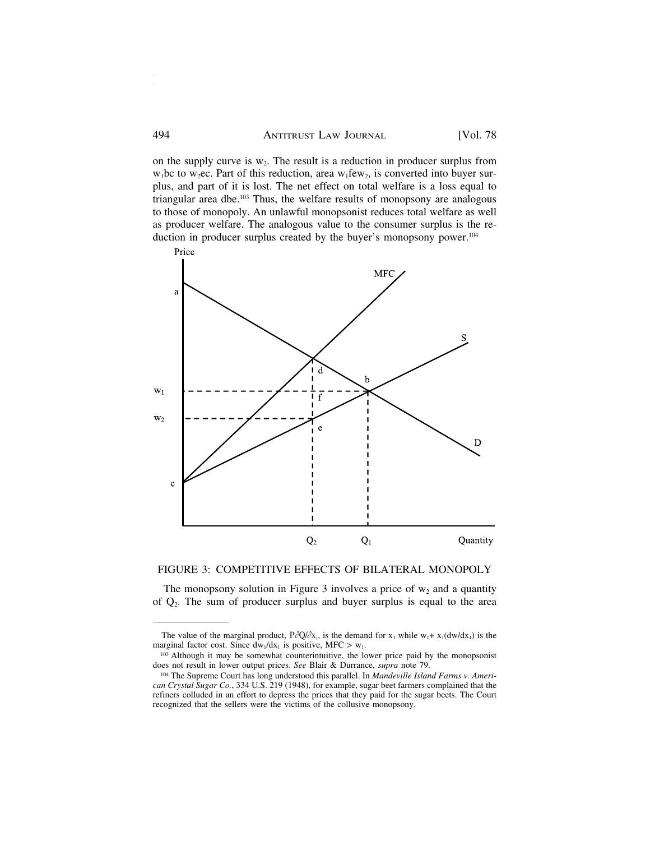on the supply curve is  $w_2$ . The result is a reduction in producer surplus from  $w_1$ bc to w<sub>2</sub>ec. Part of this reduction, area w<sub>1</sub> few<sub>2</sub>, is converted into buyer surplus, and part of it is lost. The net effect on total welfare is a loss equal to triangular area dbe.103 Thus, the welfare results of monopsony are analogous to those of monopoly. An unlawful monopsonist reduces total welfare as well as producer welfare. The analogous value to the consumer surplus is the reduction in producer surplus created by the buyer's monopsony power.<sup>104</sup>



#### FIGURE 3: COMPETITIVE EFFECTS OF BILATERAL MONOPOLY

The monopsony solution in Figure 3 involves a price of  $w_2$  and a quantity of Q2. The sum of producer surplus and buyer surplus is equal to the area

The value of the marginal product,  $P\partial Q/\partial x_1$ , is the demand for  $x_1$  while  $w_1 + x_1(dw/dx_1)$  is the marginal factor cost. Since  $dw_1/dx_1$  is positive, MFC > w<sub>1</sub>.

<sup>103</sup> Although it may be somewhat counterintuitive, the lower price paid by the monopsonist does not result in lower output prices. *See* Blair & Durrance, *supra* note 79.

<sup>104</sup> The Supreme Court has long understood this parallel. In *Mandeville Island Farms v. American Crystal Sugar Co.*, 334 U.S. 219 (1948), for example, sugar beet farmers complained that the refiners colluded in an effort to depress the prices that they paid for the sugar beets. The Court recognized that the sellers were the victims of the collusive monopsony.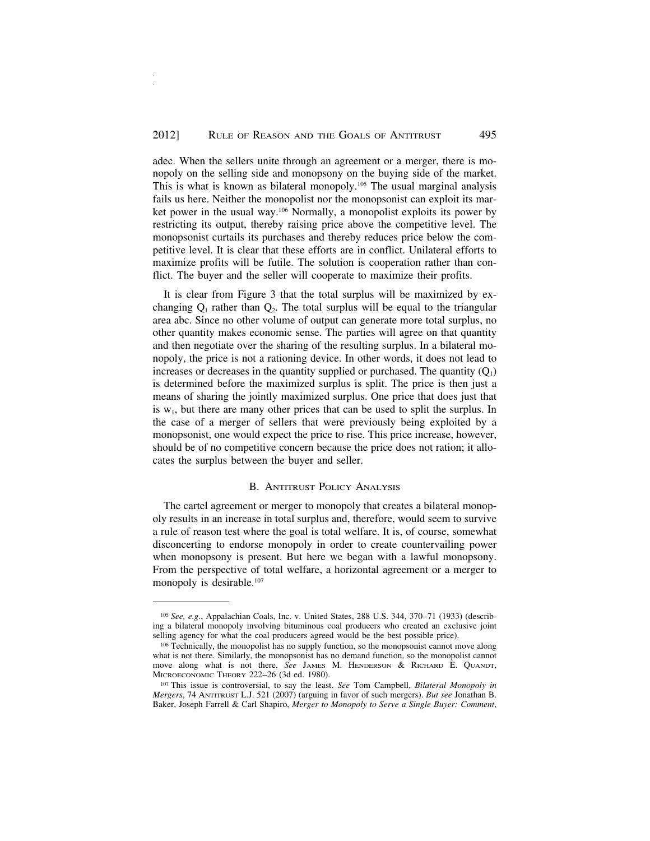adec. When the sellers unite through an agreement or a merger, there is monopoly on the selling side and monopsony on the buying side of the market. This is what is known as bilateral monopoly.105 The usual marginal analysis fails us here. Neither the monopolist nor the monopsonist can exploit its market power in the usual way.106 Normally, a monopolist exploits its power by restricting its output, thereby raising price above the competitive level. The monopsonist curtails its purchases and thereby reduces price below the competitive level. It is clear that these efforts are in conflict. Unilateral efforts to maximize profits will be futile. The solution is cooperation rather than conflict. The buyer and the seller will cooperate to maximize their profits.

It is clear from Figure 3 that the total surplus will be maximized by exchanging  $Q_1$  rather than  $Q_2$ . The total surplus will be equal to the triangular area abc. Since no other volume of output can generate more total surplus, no other quantity makes economic sense. The parties will agree on that quantity and then negotiate over the sharing of the resulting surplus. In a bilateral monopoly, the price is not a rationing device. In other words, it does not lead to increases or decreases in the quantity supplied or purchased. The quantity  $(Q_1)$ is determined before the maximized surplus is split. The price is then just a means of sharing the jointly maximized surplus. One price that does just that is  $w_1$ , but there are many other prices that can be used to split the surplus. In the case of a merger of sellers that were previously being exploited by a monopsonist, one would expect the price to rise. This price increase, however, should be of no competitive concern because the price does not ration; it allocates the surplus between the buyer and seller.

#### B. ANTITRUST POLICY ANALYSIS

The cartel agreement or merger to monopoly that creates a bilateral monopoly results in an increase in total surplus and, therefore, would seem to survive a rule of reason test where the goal is total welfare. It is, of course, somewhat disconcerting to endorse monopoly in order to create countervailing power when monopsony is present. But here we began with a lawful monopsony. From the perspective of total welfare, a horizontal agreement or a merger to monopoly is desirable.<sup>107</sup>

<sup>105</sup> *See, e.g.*, Appalachian Coals, Inc. v. United States, 288 U.S. 344, 370–71 (1933) (describing a bilateral monopoly involving bituminous coal producers who created an exclusive joint selling agency for what the coal producers agreed would be the best possible price).

<sup>106</sup> Technically, the monopolist has no supply function, so the monopsonist cannot move along what is not there. Similarly, the monopsonist has no demand function, so the monopolist cannot move along what is not there. *See* JAMES M. HENDERSON & RICHARD E. QUANDT, MICROECONOMIC THEORY 222–26 (3d ed. 1980).

<sup>107</sup> This issue is controversial, to say the least. *See* Tom Campbell, *Bilateral Monopoly in Mergers*, 74 ANTITRUST L.J. 521 (2007) (arguing in favor of such mergers). *But see* Jonathan B. Baker, Joseph Farrell & Carl Shapiro, *Merger to Monopoly to Serve a Single Buyer: Comment*,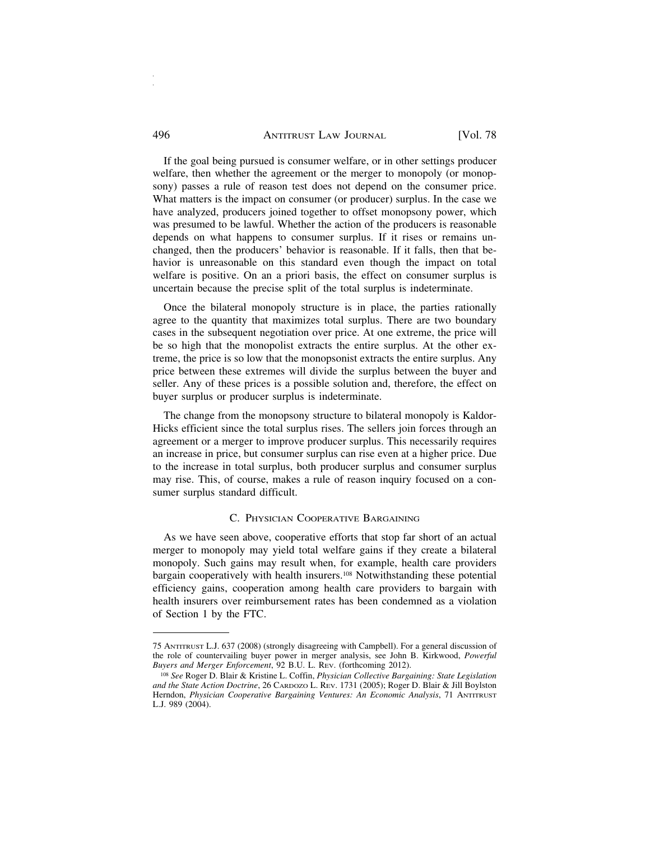#### 496 **ANTITRUST LAW JOURNAL** [Vol. 78]

If the goal being pursued is consumer welfare, or in other settings producer welfare, then whether the agreement or the merger to monopoly (or monopsony) passes a rule of reason test does not depend on the consumer price. What matters is the impact on consumer (or producer) surplus. In the case we have analyzed, producers joined together to offset monopsony power, which was presumed to be lawful. Whether the action of the producers is reasonable depends on what happens to consumer surplus. If it rises or remains unchanged, then the producers' behavior is reasonable. If it falls, then that behavior is unreasonable on this standard even though the impact on total welfare is positive. On an a priori basis, the effect on consumer surplus is uncertain because the precise split of the total surplus is indeterminate.

Once the bilateral monopoly structure is in place, the parties rationally agree to the quantity that maximizes total surplus. There are two boundary cases in the subsequent negotiation over price. At one extreme, the price will be so high that the monopolist extracts the entire surplus. At the other extreme, the price is so low that the monopsonist extracts the entire surplus. Any price between these extremes will divide the surplus between the buyer and seller. Any of these prices is a possible solution and, therefore, the effect on buyer surplus or producer surplus is indeterminate.

The change from the monopsony structure to bilateral monopoly is Kaldor-Hicks efficient since the total surplus rises. The sellers join forces through an agreement or a merger to improve producer surplus. This necessarily requires an increase in price, but consumer surplus can rise even at a higher price. Due to the increase in total surplus, both producer surplus and consumer surplus may rise. This, of course, makes a rule of reason inquiry focused on a consumer surplus standard difficult.

#### C. PHYSICIAN COOPERATIVE BARGAINING

As we have seen above, cooperative efforts that stop far short of an actual merger to monopoly may yield total welfare gains if they create a bilateral monopoly. Such gains may result when, for example, health care providers bargain cooperatively with health insurers.<sup>108</sup> Notwithstanding these potential efficiency gains, cooperation among health care providers to bargain with health insurers over reimbursement rates has been condemned as a violation of Section 1 by the FTC.

<sup>75</sup> ANTITRUST L.J. 637 (2008) (strongly disagreeing with Campbell). For a general discussion of the role of countervailing buyer power in merger analysis, see John B. Kirkwood, *Powerful Buyers and Merger Enforcement*, 92 B.U. L. REV. (forthcoming 2012).

<sup>108</sup> *See* Roger D. Blair & Kristine L. Coffin, *Physician Collective Bargaining: State Legislation and the State Action Doctrine*, 26 CARDOZO L. REV. 1731 (2005); Roger D. Blair & Jill Boylston Herndon, *Physician Cooperative Bargaining Ventures: An Economic Analysis*, 71 ANTITRUST L.J. 989 (2004).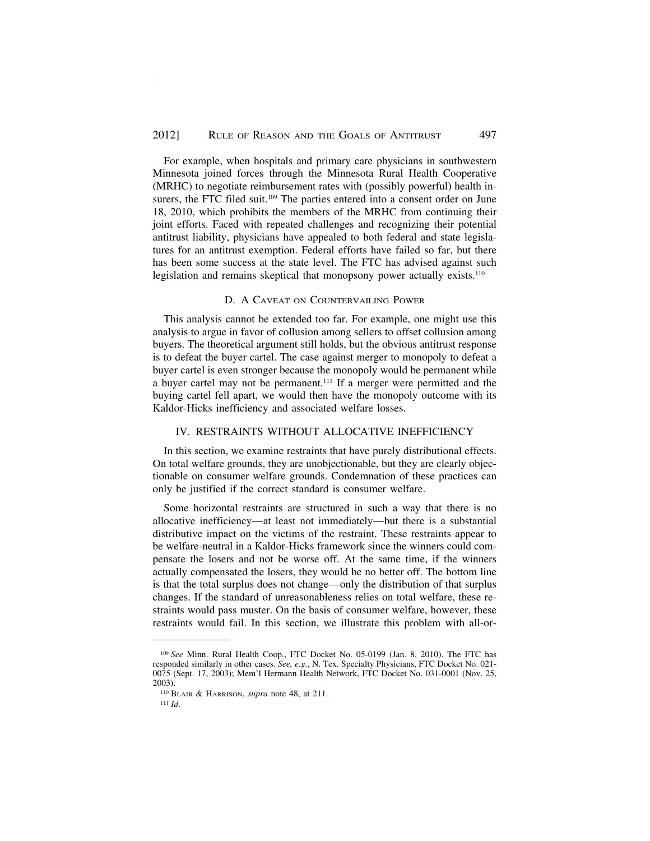For example, when hospitals and primary care physicians in southwestern Minnesota joined forces through the Minnesota Rural Health Cooperative (MRHC) to negotiate reimbursement rates with (possibly powerful) health insurers, the FTC filed suit.<sup>109</sup> The parties entered into a consent order on June 18, 2010, which prohibits the members of the MRHC from continuing their joint efforts. Faced with repeated challenges and recognizing their potential antitrust liability, physicians have appealed to both federal and state legislatures for an antitrust exemption. Federal efforts have failed so far, but there has been some success at the state level. The FTC has advised against such legislation and remains skeptical that monopsony power actually exists.<sup>110</sup>

#### D. A CAVEAT ON COUNTERVAILING POWER

This analysis cannot be extended too far. For example, one might use this analysis to argue in favor of collusion among sellers to offset collusion among buyers. The theoretical argument still holds, but the obvious antitrust response is to defeat the buyer cartel. The case against merger to monopoly to defeat a buyer cartel is even stronger because the monopoly would be permanent while a buyer cartel may not be permanent.111 If a merger were permitted and the buying cartel fell apart, we would then have the monopoly outcome with its Kaldor-Hicks inefficiency and associated welfare losses.

#### IV. RESTRAINTS WITHOUT ALLOCATIVE INEFFICIENCY

In this section, we examine restraints that have purely distributional effects. On total welfare grounds, they are unobjectionable, but they are clearly objectionable on consumer welfare grounds. Condemnation of these practices can only be justified if the correct standard is consumer welfare.

Some horizontal restraints are structured in such a way that there is no allocative inefficiency—at least not immediately—but there is a substantial distributive impact on the victims of the restraint. These restraints appear to be welfare-neutral in a Kaldor-Hicks framework since the winners could compensate the losers and not be worse off. At the same time, if the winners actually compensated the losers, they would be no better off. The bottom line is that the total surplus does not change—only the distribution of that surplus changes. If the standard of unreasonableness relies on total welfare, these restraints would pass muster. On the basis of consumer welfare, however, these restraints would fail. In this section, we illustrate this problem with all-or-

<sup>111</sup> *Id*.

<sup>109</sup> *See* Minn. Rural Health Coop., FTC Docket No. 05-0199 (Jan. 8, 2010). The FTC has responded similarly in other cases. *See, e.g.*, N. Tex. Specialty Physicians, FTC Docket No. 021- 0075 (Sept. 17, 2003); Mem'l Hermann Health Network, FTC Docket No. 031-0001 (Nov. 25, 2003).

<sup>110</sup> BLAIR & HARRISON, *supra* note 48, at 211.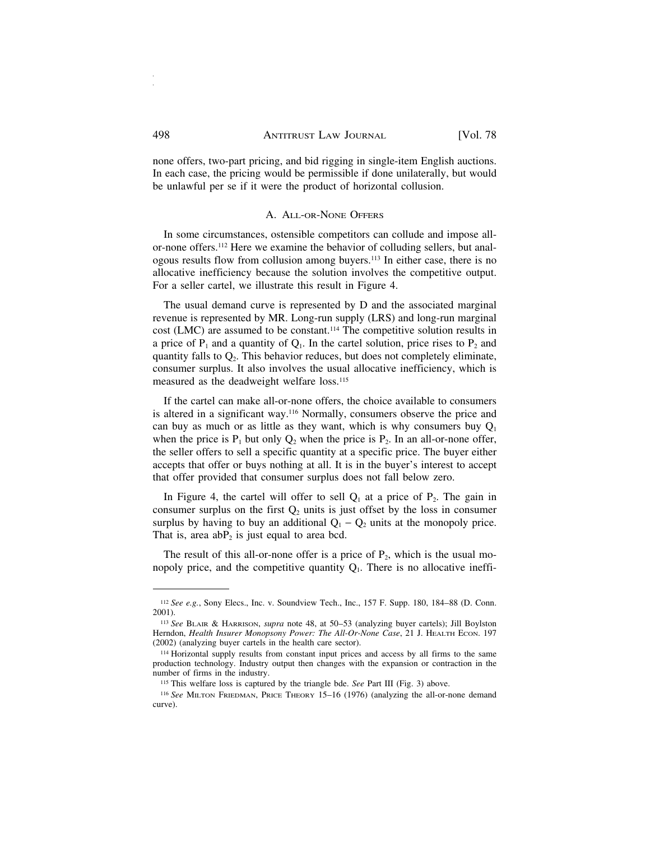none offers, two-part pricing, and bid rigging in single-item English auctions. In each case, the pricing would be permissible if done unilaterally, but would be unlawful per se if it were the product of horizontal collusion.

#### A. ALL-OR-NONE OFFERS

In some circumstances, ostensible competitors can collude and impose allor-none offers.112 Here we examine the behavior of colluding sellers, but analogous results flow from collusion among buyers.113 In either case, there is no allocative inefficiency because the solution involves the competitive output. For a seller cartel, we illustrate this result in Figure 4.

The usual demand curve is represented by D and the associated marginal revenue is represented by MR. Long-run supply (LRS) and long-run marginal cost (LMC) are assumed to be constant.114 The competitive solution results in a price of  $P_1$  and a quantity of  $Q_1$ . In the cartel solution, price rises to  $P_2$  and quantity falls to  $Q<sub>2</sub>$ . This behavior reduces, but does not completely eliminate, consumer surplus. It also involves the usual allocative inefficiency, which is measured as the deadweight welfare loss.115

If the cartel can make all-or-none offers, the choice available to consumers is altered in a significant way.116 Normally, consumers observe the price and can buy as much or as little as they want, which is why consumers buy  $Q_1$ when the price is  $P_1$  but only  $Q_2$  when the price is  $P_2$ . In an all-or-none offer, the seller offers to sell a specific quantity at a specific price. The buyer either accepts that offer or buys nothing at all. It is in the buyer's interest to accept that offer provided that consumer surplus does not fall below zero.

In Figure 4, the cartel will offer to sell  $Q_1$  at a price of  $P_2$ . The gain in consumer surplus on the first  $Q_2$  units is just offset by the loss in consumer surplus by having to buy an additional  $Q_1 - Q_2$  units at the monopoly price. That is, area  $abP_2$  is just equal to area bcd.

The result of this all-or-none offer is a price of  $P_2$ , which is the usual monopoly price, and the competitive quantity  $Q_1$ . There is no allocative ineffi-

<sup>112</sup> *See e.g.*, Sony Elecs., Inc. v. Soundview Tech., Inc., 157 F. Supp. 180, 184–88 (D. Conn. 2001).

<sup>113</sup> *See* BLAIR & HARRISON, *supra* note 48, at 50–53 (analyzing buyer cartels); Jill Boylston Herndon, *Health Insurer Monopsony Power: The All-Or-None Case*, 21 J. HEALTH ECON. 197 (2002) (analyzing buyer cartels in the health care sector).

<sup>114</sup> Horizontal supply results from constant input prices and access by all firms to the same production technology. Industry output then changes with the expansion or contraction in the number of firms in the industry.

<sup>115</sup> This welfare loss is captured by the triangle bde. *See* Part III (Fig. 3) above.

<sup>116</sup> *See* MILTON FRIEDMAN, PRICE THEORY 15–16 (1976) (analyzing the all-or-none demand curve).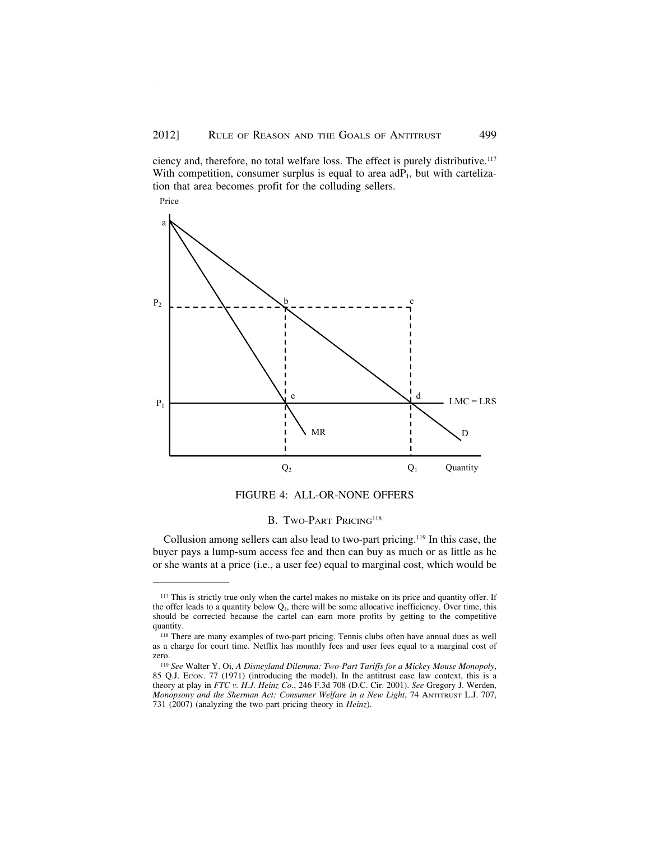ciency and, therefore, no total welfare loss. The effect is purely distributive.117 With competition, consumer surplus is equal to area  $adP_1$ , but with cartelization that area becomes profit for the colluding sellers.





#### B. TWO-PART PRICING<sup>118</sup>

Collusion among sellers can also lead to two-part pricing.119 In this case, the buyer pays a lump-sum access fee and then can buy as much or as little as he or she wants at a price (i.e., a user fee) equal to marginal cost, which would be

<sup>&</sup>lt;sup>117</sup> This is strictly true only when the cartel makes no mistake on its price and quantity offer. If the offer leads to a quantity below  $Q_1$ , there will be some allocative inefficiency. Over time, this should be corrected because the cartel can earn more profits by getting to the competitive quantity.

<sup>118</sup> There are many examples of two-part pricing. Tennis clubs often have annual dues as well as a charge for court time. Netflix has monthly fees and user fees equal to a marginal cost of zero.

<sup>119</sup> *See* Walter Y. Oi, *A Disneyland Dilemma: Two-Part Tariffs for a Mickey Mouse Monopoly*, 85 Q.J. Econ. 77 (1971) (introducing the model). In the antitrust case law context, this is a theory at play in *FTC v. H.J. Heinz Co*., 246 F.3d 708 (D.C. Cir. 2001). *See* Gregory J. Werden, *Monopsony and the Sherman Act: Consumer Welfare in a New Light*, 74 ANTITRUST L.J. 707, 731 (2007) (analyzing the two-part pricing theory in *Heinz*).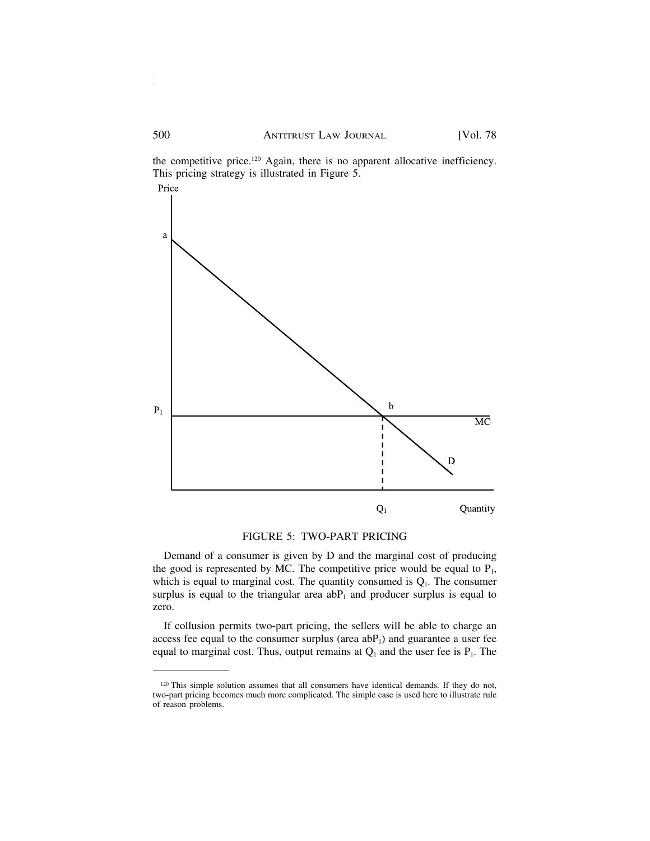the competitive price.<sup>120</sup> Again, there is no apparent allocative inefficiency. This pricing strategy is illustrated in Figure 5.



#### FIGURE 5: TWO-PART PRICING

Demand of a consumer is given by D and the marginal cost of producing the good is represented by MC. The competitive price would be equal to  $P_1$ , which is equal to marginal cost. The quantity consumed is  $Q_1$ . The consumer surplus is equal to the triangular area  $abP_1$  and producer surplus is equal to zero.

If collusion permits two-part pricing, the sellers will be able to charge an access fee equal to the consumer surplus (area  $abP_1$ ) and guarantee a user fee equal to marginal cost. Thus, output remains at  $Q_1$  and the user fee is  $P_1$ . The

<sup>120</sup> This simple solution assumes that all consumers have identical demands. If they do not, two-part pricing becomes much more complicated. The simple case is used here to illustrate rule of reason problems.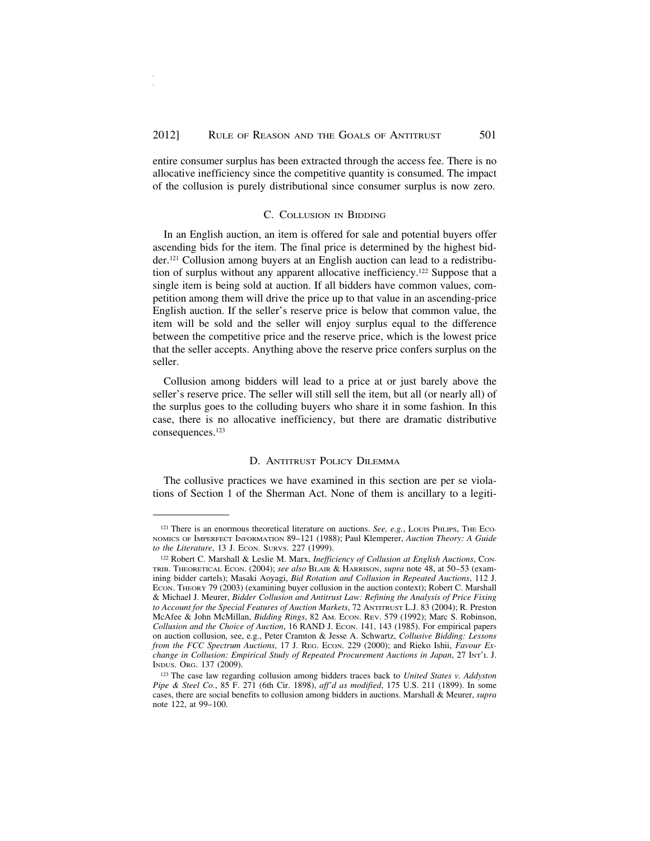entire consumer surplus has been extracted through the access fee. There is no allocative inefficiency since the competitive quantity is consumed. The impact of the collusion is purely distributional since consumer surplus is now zero.

#### C. COLLUSION IN BIDDING

In an English auction, an item is offered for sale and potential buyers offer ascending bids for the item. The final price is determined by the highest bidder.121 Collusion among buyers at an English auction can lead to a redistribution of surplus without any apparent allocative inefficiency.122 Suppose that a single item is being sold at auction. If all bidders have common values, competition among them will drive the price up to that value in an ascending-price English auction. If the seller's reserve price is below that common value, the item will be sold and the seller will enjoy surplus equal to the difference between the competitive price and the reserve price, which is the lowest price that the seller accepts. Anything above the reserve price confers surplus on the seller.

Collusion among bidders will lead to a price at or just barely above the seller's reserve price. The seller will still sell the item, but all (or nearly all) of the surplus goes to the colluding buyers who share it in some fashion. In this case, there is no allocative inefficiency, but there are dramatic distributive consequences.123

#### D. ANTITRUST POLICY DILEMMA

The collusive practices we have examined in this section are per se violations of Section 1 of the Sherman Act. None of them is ancillary to a legiti-

<sup>&</sup>lt;sup>121</sup> There is an enormous theoretical literature on auctions. *See, e.g.*, Louis PHLIPS, THE Eco-NOMICS OF IMPERFECT INFORMATION 89–121 (1988); Paul Klemperer, *Auction Theory: A Guide to the Literature*, 13 J. ECON. SURVS. 227 (1999).

<sup>122</sup> Robert C. Marshall & Leslie M. Marx, *Inefficiency of Collusion at English Auctions*, Con-TRIB. THEORETICAL ECON. (2004); *see also* BLAIR & HARRISON, *supra* note 48, at 50–53 (examining bidder cartels); Masaki Aoyagi, *Bid Rotation and Collusion in Repeated Auctions*, 112 J. ECON. THEORY 79 (2003) (examining buyer collusion in the auction context); Robert C. Marshall & Michael J. Meurer, *Bidder Collusion and Antitrust Law: Refining the Analysis of Price Fixing to Account for the Special Features of Auction Markets*, 72 ANTITRUST L.J. 83 (2004); R. Preston McAfee & John McMillan, *Bidding Rings*, 82 AM. ECON. REV. 579 (1992); Marc S. Robinson, *Collusion and the Choice of Auction*, 16 RAND J. ECON. 141, 143 (1985). For empirical papers on auction collusion, see, e.g., Peter Cramton & Jesse A. Schwartz, *Collusive Bidding: Lessons from the FCC Spectrum Auctions*, 17 J. REG. ECON. 229 (2000); and Rieko Ishii, *Favour Exchange in Collusion: Empirical Study of Repeated Procurement Auctions in Japan*, 27 INT'L J. INDUS. ORG. 137 (2009).

<sup>123</sup> The case law regarding collusion among bidders traces back to *United States v. Addyston Pipe & Steel Co.*, 85 F. 271 (6th Cir. 1898), *aff'd as modified*, 175 U.S. 211 (1899). In some cases, there are social benefits to collusion among bidders in auctions. Marshall & Meurer, *supra* note 122, at 99–100.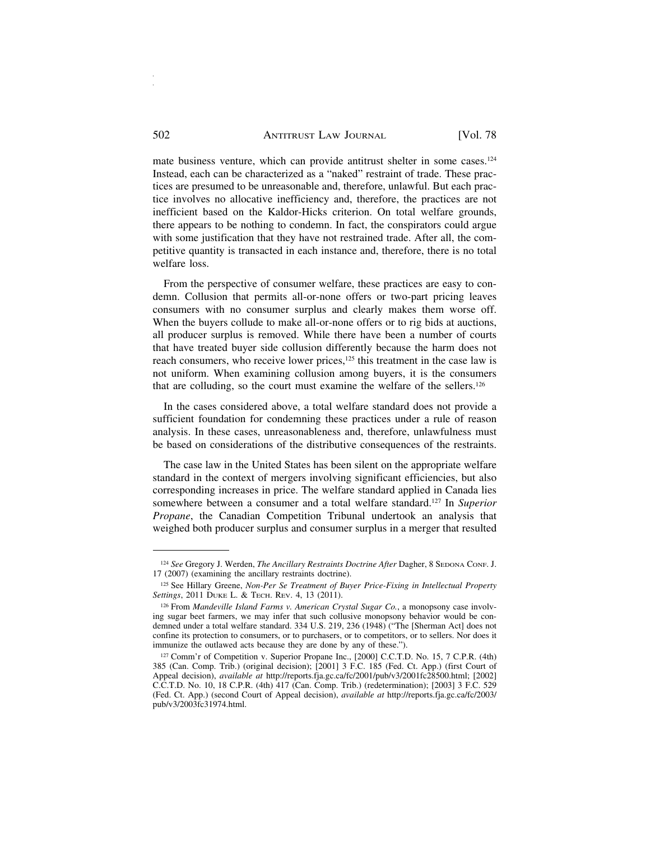mate business venture, which can provide antitrust shelter in some cases.<sup>124</sup> Instead, each can be characterized as a "naked" restraint of trade. These practices are presumed to be unreasonable and, therefore, unlawful. But each practice involves no allocative inefficiency and, therefore, the practices are not inefficient based on the Kaldor-Hicks criterion. On total welfare grounds, there appears to be nothing to condemn. In fact, the conspirators could argue with some justification that they have not restrained trade. After all, the competitive quantity is transacted in each instance and, therefore, there is no total welfare loss.

From the perspective of consumer welfare, these practices are easy to condemn. Collusion that permits all-or-none offers or two-part pricing leaves consumers with no consumer surplus and clearly makes them worse off. When the buyers collude to make all-or-none offers or to rig bids at auctions, all producer surplus is removed. While there have been a number of courts that have treated buyer side collusion differently because the harm does not reach consumers, who receive lower prices,<sup>125</sup> this treatment in the case law is not uniform. When examining collusion among buyers, it is the consumers that are colluding, so the court must examine the welfare of the sellers.126

In the cases considered above, a total welfare standard does not provide a sufficient foundation for condemning these practices under a rule of reason analysis. In these cases, unreasonableness and, therefore, unlawfulness must be based on considerations of the distributive consequences of the restraints.

The case law in the United States has been silent on the appropriate welfare standard in the context of mergers involving significant efficiencies, but also corresponding increases in price. The welfare standard applied in Canada lies somewhere between a consumer and a total welfare standard.127 In *Superior Propane*, the Canadian Competition Tribunal undertook an analysis that weighed both producer surplus and consumer surplus in a merger that resulted

<sup>124</sup> See Gregory J. Werden, *The Ancillary Restraints Doctrine After Dagher*, 8 SEDONA CONF. J. 17 (2007) (examining the ancillary restraints doctrine).

<sup>125</sup> See Hillary Greene, *Non-Per Se Treatment of Buyer Price-Fixing in Intellectual Property Settings*, 2011 DUKE L. & TECH. REV. 4, 13 (2011).

<sup>126</sup> From *Mandeville Island Farms v. American Crystal Sugar Co.*, a monopsony case involving sugar beet farmers, we may infer that such collusive monopsony behavior would be condemned under a total welfare standard. 334 U.S. 219, 236 (1948) ("The [Sherman Act] does not confine its protection to consumers, or to purchasers, or to competitors, or to sellers. Nor does it immunize the outlawed acts because they are done by any of these.").

<sup>127</sup> Comm'r of Competition v. Superior Propane Inc., [2000] C.C.T.D. No. 15, 7 C.P.R. (4th) 385 (Can. Comp. Trib.) (original decision); [2001] 3 F.C. 185 (Fed. Ct. App.) (first Court of Appeal decision), *available at* http://reports.fja.gc.ca/fc/2001/pub/v3/2001fc28500.html; [2002] C.C.T.D. No. 10, 18 C.P.R. (4th) 417 (Can. Comp. Trib.) (redetermination); [2003] 3 F.C. 529 (Fed. Ct. App.) (second Court of Appeal decision), *available at* http://reports.fja.gc.ca/fc/2003/ pub/v3/2003fc31974.html.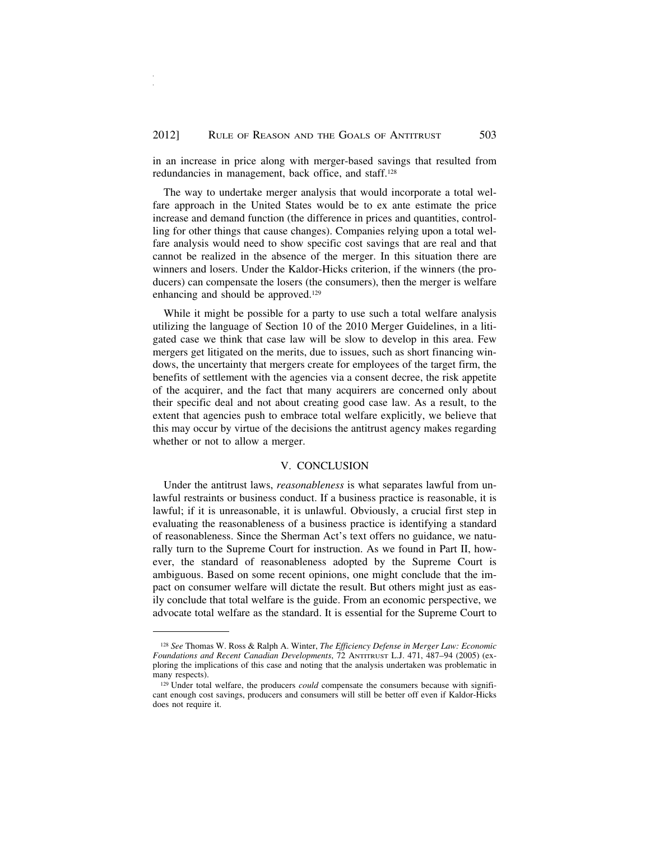in an increase in price along with merger-based savings that resulted from redundancies in management, back office, and staff.128

The way to undertake merger analysis that would incorporate a total welfare approach in the United States would be to ex ante estimate the price increase and demand function (the difference in prices and quantities, controlling for other things that cause changes). Companies relying upon a total welfare analysis would need to show specific cost savings that are real and that cannot be realized in the absence of the merger. In this situation there are winners and losers. Under the Kaldor-Hicks criterion, if the winners (the producers) can compensate the losers (the consumers), then the merger is welfare enhancing and should be approved.129

While it might be possible for a party to use such a total welfare analysis utilizing the language of Section 10 of the 2010 Merger Guidelines, in a litigated case we think that case law will be slow to develop in this area. Few mergers get litigated on the merits, due to issues, such as short financing windows, the uncertainty that mergers create for employees of the target firm, the benefits of settlement with the agencies via a consent decree, the risk appetite of the acquirer, and the fact that many acquirers are concerned only about their specific deal and not about creating good case law. As a result, to the extent that agencies push to embrace total welfare explicitly, we believe that this may occur by virtue of the decisions the antitrust agency makes regarding whether or not to allow a merger.

#### V. CONCLUSION

Under the antitrust laws, *reasonableness* is what separates lawful from unlawful restraints or business conduct. If a business practice is reasonable, it is lawful; if it is unreasonable, it is unlawful. Obviously, a crucial first step in evaluating the reasonableness of a business practice is identifying a standard of reasonableness. Since the Sherman Act's text offers no guidance, we naturally turn to the Supreme Court for instruction. As we found in Part II, however, the standard of reasonableness adopted by the Supreme Court is ambiguous. Based on some recent opinions, one might conclude that the impact on consumer welfare will dictate the result. But others might just as easily conclude that total welfare is the guide. From an economic perspective, we advocate total welfare as the standard. It is essential for the Supreme Court to

<sup>128</sup> *See* Thomas W. Ross & Ralph A. Winter, *The Efficiency Defense in Merger Law: Economic Foundations and Recent Canadian Developments*, 72 ANTITRUST L.J. 471, 487–94 (2005) (exploring the implications of this case and noting that the analysis undertaken was problematic in many respects).

<sup>&</sup>lt;sup>129</sup> Under total welfare, the producers *could* compensate the consumers because with significant enough cost savings, producers and consumers will still be better off even if Kaldor-Hicks does not require it.